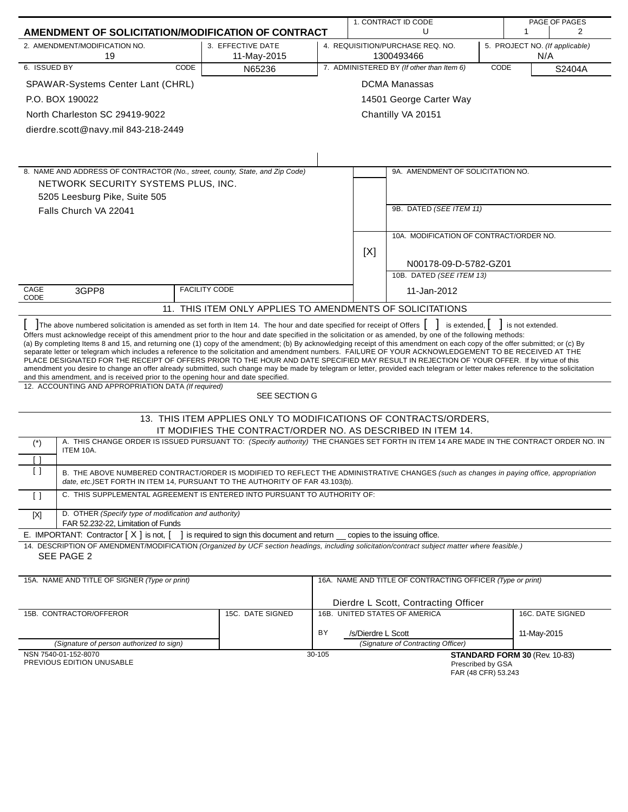| AMENDMENT OF SOLICITATION/MODIFICATION OF CONTRACT |                                                                                                                                                                                                                                                                                                                                                                                                                                                                                                                                                                                                                                                                                                                                                                                                                                                                                                                                                                                    |                                                                  |        | 1. CONTRACT ID CODE |                                                                                         |      |                               | PAGE OF PAGES    |
|----------------------------------------------------|------------------------------------------------------------------------------------------------------------------------------------------------------------------------------------------------------------------------------------------------------------------------------------------------------------------------------------------------------------------------------------------------------------------------------------------------------------------------------------------------------------------------------------------------------------------------------------------------------------------------------------------------------------------------------------------------------------------------------------------------------------------------------------------------------------------------------------------------------------------------------------------------------------------------------------------------------------------------------------|------------------------------------------------------------------|--------|---------------------|-----------------------------------------------------------------------------------------|------|-------------------------------|------------------|
|                                                    |                                                                                                                                                                                                                                                                                                                                                                                                                                                                                                                                                                                                                                                                                                                                                                                                                                                                                                                                                                                    |                                                                  |        |                     | U                                                                                       |      | 1                             | 2                |
|                                                    | 2. AMENDMENT/MODIFICATION NO.<br>19                                                                                                                                                                                                                                                                                                                                                                                                                                                                                                                                                                                                                                                                                                                                                                                                                                                                                                                                                | 3. EFFECTIVE DATE<br>11-May-2015                                 |        |                     | 4. REQUISITION/PURCHASE REQ. NO.<br>5. PROJECT NO. (If applicable)<br>1300493466<br>N/A |      |                               |                  |
| 6. ISSUED BY                                       | CODE                                                                                                                                                                                                                                                                                                                                                                                                                                                                                                                                                                                                                                                                                                                                                                                                                                                                                                                                                                               | N65236                                                           |        |                     | 7. ADMINISTERED BY (If other than Item 6)                                               | CODE |                               | S2404A           |
|                                                    | SPAWAR-Systems Center Lant (CHRL)                                                                                                                                                                                                                                                                                                                                                                                                                                                                                                                                                                                                                                                                                                                                                                                                                                                                                                                                                  |                                                                  |        |                     | <b>DCMA Manassas</b>                                                                    |      |                               |                  |
|                                                    | P.O. BOX 190022                                                                                                                                                                                                                                                                                                                                                                                                                                                                                                                                                                                                                                                                                                                                                                                                                                                                                                                                                                    |                                                                  |        |                     | 14501 George Carter Way                                                                 |      |                               |                  |
|                                                    | North Charleston SC 29419-9022                                                                                                                                                                                                                                                                                                                                                                                                                                                                                                                                                                                                                                                                                                                                                                                                                                                                                                                                                     |                                                                  |        |                     | Chantilly VA 20151                                                                      |      |                               |                  |
|                                                    | dierdre.scott@navy.mil 843-218-2449                                                                                                                                                                                                                                                                                                                                                                                                                                                                                                                                                                                                                                                                                                                                                                                                                                                                                                                                                |                                                                  |        |                     |                                                                                         |      |                               |                  |
|                                                    |                                                                                                                                                                                                                                                                                                                                                                                                                                                                                                                                                                                                                                                                                                                                                                                                                                                                                                                                                                                    |                                                                  |        |                     |                                                                                         |      |                               |                  |
|                                                    |                                                                                                                                                                                                                                                                                                                                                                                                                                                                                                                                                                                                                                                                                                                                                                                                                                                                                                                                                                                    |                                                                  |        |                     |                                                                                         |      |                               |                  |
|                                                    | 8. NAME AND ADDRESS OF CONTRACTOR (No., street, county, State, and Zip Code)                                                                                                                                                                                                                                                                                                                                                                                                                                                                                                                                                                                                                                                                                                                                                                                                                                                                                                       |                                                                  |        |                     | 9A. AMENDMENT OF SOLICITATION NO.                                                       |      |                               |                  |
|                                                    | NETWORK SECURITY SYSTEMS PLUS, INC.                                                                                                                                                                                                                                                                                                                                                                                                                                                                                                                                                                                                                                                                                                                                                                                                                                                                                                                                                |                                                                  |        |                     |                                                                                         |      |                               |                  |
|                                                    | 5205 Leesburg Pike, Suite 505                                                                                                                                                                                                                                                                                                                                                                                                                                                                                                                                                                                                                                                                                                                                                                                                                                                                                                                                                      |                                                                  |        |                     |                                                                                         |      |                               |                  |
|                                                    | Falls Church VA 22041                                                                                                                                                                                                                                                                                                                                                                                                                                                                                                                                                                                                                                                                                                                                                                                                                                                                                                                                                              |                                                                  |        |                     | 9B. DATED (SEE ITEM 11)                                                                 |      |                               |                  |
|                                                    |                                                                                                                                                                                                                                                                                                                                                                                                                                                                                                                                                                                                                                                                                                                                                                                                                                                                                                                                                                                    |                                                                  |        |                     |                                                                                         |      |                               |                  |
|                                                    |                                                                                                                                                                                                                                                                                                                                                                                                                                                                                                                                                                                                                                                                                                                                                                                                                                                                                                                                                                                    |                                                                  |        |                     | 10A. MODIFICATION OF CONTRACT/ORDER NO.                                                 |      |                               |                  |
|                                                    |                                                                                                                                                                                                                                                                                                                                                                                                                                                                                                                                                                                                                                                                                                                                                                                                                                                                                                                                                                                    |                                                                  |        | [X]                 |                                                                                         |      |                               |                  |
|                                                    |                                                                                                                                                                                                                                                                                                                                                                                                                                                                                                                                                                                                                                                                                                                                                                                                                                                                                                                                                                                    |                                                                  |        |                     | N00178-09-D-5782-GZ01<br>10B. DATED (SEE ITEM 13)                                       |      |                               |                  |
|                                                    |                                                                                                                                                                                                                                                                                                                                                                                                                                                                                                                                                                                                                                                                                                                                                                                                                                                                                                                                                                                    |                                                                  |        |                     |                                                                                         |      |                               |                  |
| CAGE<br>CODE                                       | 3GPP8                                                                                                                                                                                                                                                                                                                                                                                                                                                                                                                                                                                                                                                                                                                                                                                                                                                                                                                                                                              | <b>FACILITY CODE</b>                                             |        |                     | 11-Jan-2012                                                                             |      |                               |                  |
|                                                    |                                                                                                                                                                                                                                                                                                                                                                                                                                                                                                                                                                                                                                                                                                                                                                                                                                                                                                                                                                                    | 11. THIS ITEM ONLY APPLIES TO AMENDMENTS OF SOLICITATIONS        |        |                     |                                                                                         |      |                               |                  |
|                                                    | Offers must acknowledge receipt of this amendment prior to the hour and date specified in the solicitation or as amended, by one of the following methods:<br>(a) By completing Items 8 and 15, and returning one (1) copy of the amendment; (b) By acknowledging receipt of this amendment on each copy of the offer submitted; or (c) By<br>separate letter or telegram which includes a reference to the solicitation and amendment numbers. FAILURE OF YOUR ACKNOWLEDGEMENT TO BE RECEIVED AT THE<br>PLACE DESIGNATED FOR THE RECEIPT OF OFFERS PRIOR TO THE HOUR AND DATE SPECIFIED MAY RESULT IN REJECTION OF YOUR OFFER. If by virtue of this<br>amendment you desire to change an offer already submitted, such change may be made by telegram or letter, provided each telegram or letter makes reference to the solicitation<br>and this amendment, and is received prior to the opening hour and date specified.<br>12. ACCOUNTING AND APPROPRIATION DATA (If required) | SEE SECTION G                                                    |        |                     |                                                                                         |      |                               |                  |
|                                                    |                                                                                                                                                                                                                                                                                                                                                                                                                                                                                                                                                                                                                                                                                                                                                                                                                                                                                                                                                                                    |                                                                  |        |                     |                                                                                         |      |                               |                  |
|                                                    |                                                                                                                                                                                                                                                                                                                                                                                                                                                                                                                                                                                                                                                                                                                                                                                                                                                                                                                                                                                    | 13. THIS ITEM APPLIES ONLY TO MODIFICATIONS OF CONTRACTS/ORDERS, |        |                     |                                                                                         |      |                               |                  |
|                                                    |                                                                                                                                                                                                                                                                                                                                                                                                                                                                                                                                                                                                                                                                                                                                                                                                                                                                                                                                                                                    | IT MODIFIES THE CONTRACT/ORDER NO. AS DESCRIBED IN ITEM 14.      |        |                     |                                                                                         |      |                               |                  |
| $(\dot{\phantom{a}})$                              | A. THIS CHANGE ORDER IS ISSUED PURSUANT TO: (Specify authority) THE CHANGES SET FORTH IN ITEM 14 ARE MADE IN THE CONTRACT ORDER NO. IN<br>ITEM 10A.                                                                                                                                                                                                                                                                                                                                                                                                                                                                                                                                                                                                                                                                                                                                                                                                                                |                                                                  |        |                     |                                                                                         |      |                               |                  |
| ſΙ                                                 |                                                                                                                                                                                                                                                                                                                                                                                                                                                                                                                                                                                                                                                                                                                                                                                                                                                                                                                                                                                    |                                                                  |        |                     |                                                                                         |      |                               |                  |
| $\left[ \ \right]$                                 | B. THE ABOVE NUMBERED CONTRACT/ORDER IS MODIFIED TO REFLECT THE ADMINISTRATIVE CHANGES (such as changes in paying office, appropriation<br>date, etc.)SET FORTH IN ITEM 14, PURSUANT TO THE AUTHORITY OF FAR 43.103(b).                                                                                                                                                                                                                                                                                                                                                                                                                                                                                                                                                                                                                                                                                                                                                            |                                                                  |        |                     |                                                                                         |      |                               |                  |
| $\lceil$ $\rceil$                                  | C. THIS SUPPLEMENTAL AGREEMENT IS ENTERED INTO PURSUANT TO AUTHORITY OF:                                                                                                                                                                                                                                                                                                                                                                                                                                                                                                                                                                                                                                                                                                                                                                                                                                                                                                           |                                                                  |        |                     |                                                                                         |      |                               |                  |
| $[{\sf X}]$                                        | D. OTHER (Specify type of modification and authority)<br>FAR 52.232-22, Limitation of Funds                                                                                                                                                                                                                                                                                                                                                                                                                                                                                                                                                                                                                                                                                                                                                                                                                                                                                        |                                                                  |        |                     |                                                                                         |      |                               |                  |
|                                                    | E. IMPORTANT: Contractor $[X]$ is not, $[$                                                                                                                                                                                                                                                                                                                                                                                                                                                                                                                                                                                                                                                                                                                                                                                                                                                                                                                                         | ] is required to sign this document and return _                 |        |                     | copies to the issuing office.                                                           |      |                               |                  |
|                                                    | 14. DESCRIPTION OF AMENDMENT/MODIFICATION (Organized by UCF section headings, including solicitation/contract subject matter where feasible.)<br>SEE PAGE 2                                                                                                                                                                                                                                                                                                                                                                                                                                                                                                                                                                                                                                                                                                                                                                                                                        |                                                                  |        |                     |                                                                                         |      |                               |                  |
|                                                    | 15A. NAME AND TITLE OF SIGNER (Type or print)                                                                                                                                                                                                                                                                                                                                                                                                                                                                                                                                                                                                                                                                                                                                                                                                                                                                                                                                      |                                                                  |        |                     | 16A. NAME AND TITLE OF CONTRACTING OFFICER (Type or print)                              |      |                               |                  |
|                                                    |                                                                                                                                                                                                                                                                                                                                                                                                                                                                                                                                                                                                                                                                                                                                                                                                                                                                                                                                                                                    |                                                                  |        |                     |                                                                                         |      |                               |                  |
|                                                    | 15B. CONTRACTOR/OFFEROR                                                                                                                                                                                                                                                                                                                                                                                                                                                                                                                                                                                                                                                                                                                                                                                                                                                                                                                                                            | 15C. DATE SIGNED                                                 |        |                     | Dierdre L Scott, Contracting Officer<br>16B. UNITED STATES OF AMERICA                   |      |                               | 16C. DATE SIGNED |
|                                                    |                                                                                                                                                                                                                                                                                                                                                                                                                                                                                                                                                                                                                                                                                                                                                                                                                                                                                                                                                                                    |                                                                  | BY     | /s/Dierdre L Scott  |                                                                                         |      | 11-May-2015                   |                  |
|                                                    | (Signature of person authorized to sign)                                                                                                                                                                                                                                                                                                                                                                                                                                                                                                                                                                                                                                                                                                                                                                                                                                                                                                                                           |                                                                  |        |                     | (Signature of Contracting Officer)                                                      |      |                               |                  |
|                                                    | NSN 7540-01-152-8070<br>PREVIOUS EDITION UNUSABLE                                                                                                                                                                                                                                                                                                                                                                                                                                                                                                                                                                                                                                                                                                                                                                                                                                                                                                                                  |                                                                  | 30-105 |                     | Prescribed by GSA<br>FAR (48 CFR) 53.243                                                |      | STANDARD FORM 30 (Rev. 10-83) |                  |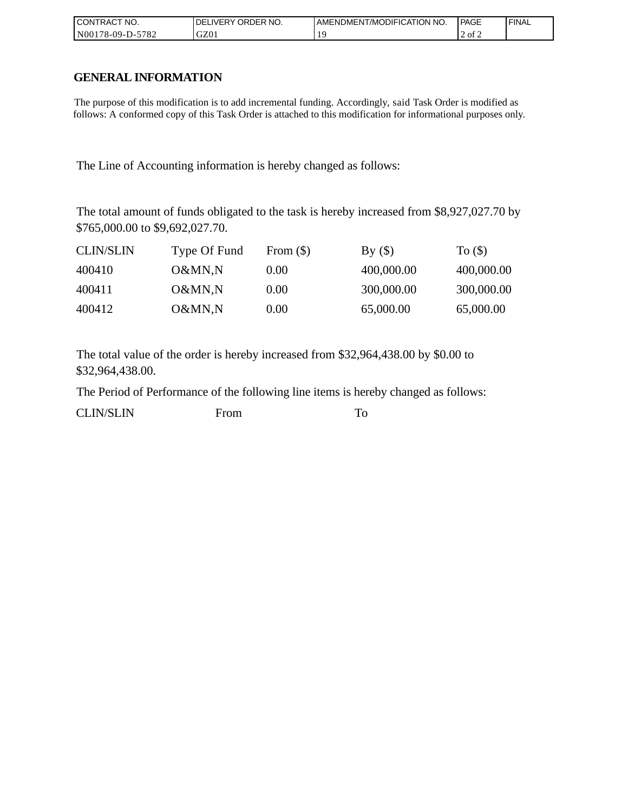| I CONTRACT NO.             | NO.<br>' ORDER<br><b>DELIVERY</b> | AMENDMENT/MODIFICATION NO. | PAGE   | ' FINAL |
|----------------------------|-----------------------------------|----------------------------|--------|---------|
| $-5782$<br>  N00178-09-D-5 | GZ01                              |                            | 2 of 2 |         |

# **GENERAL INFORMATION**

The purpose of this modification is to add incremental funding. Accordingly, said Task Order is modified as follows: A conformed copy of this Task Order is attached to this modification for informational purposes only.

The Line of Accounting information is hereby changed as follows:

The total amount of funds obligated to the task is hereby increased from \$8,927,027.70 by \$765,000.00 to \$9,692,027.70.

| <b>CLIN/SLIN</b> | Type Of Fund | From $(\$)$ | By()       | To $($     |
|------------------|--------------|-------------|------------|------------|
| 400410           | O&MN,N       | 0.00        | 400,000.00 | 400,000.00 |
| 400411           | O&MN,N       | 0.00        | 300,000.00 | 300,000.00 |
| 400412           | O&MN,N       | 0.00        | 65,000.00  | 65,000.00  |

The total value of the order is hereby increased from \$32,964,438.00 by \$0.00 to \$32,964,438.00.

The Period of Performance of the following line items is hereby changed as follows:

| <b>CLIN/SLIN</b> | From |  |
|------------------|------|--|
|                  |      |  |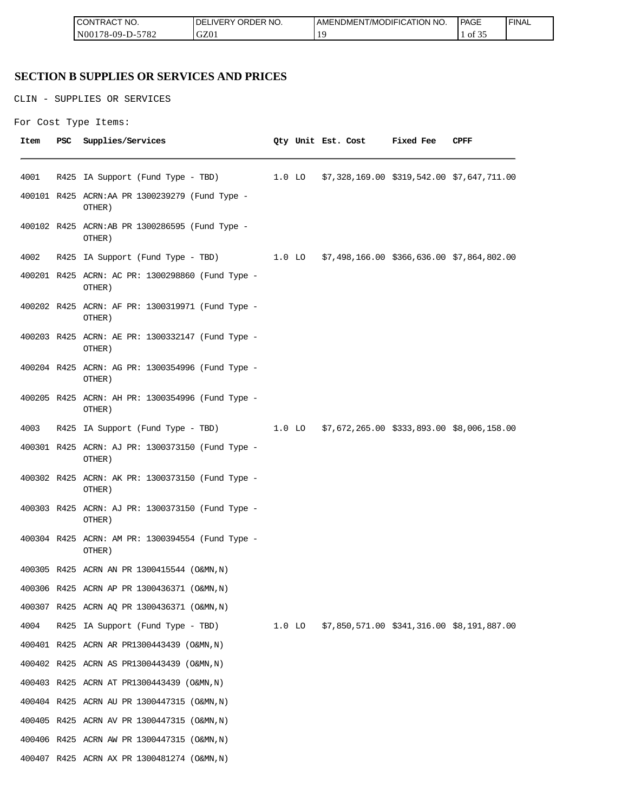| " NO.<br><b>CON</b><br>ਾTRA∟                                        | 'DER NO.<br>`)R<br>.DEP.<br>.)F<br>$\cdots$ $\cdots$ $\vdots$<br>ີ | DMENT/MODIFICATION NO.<br>AMENL | PAGE                          | <b>FINAL</b> |
|---------------------------------------------------------------------|--------------------------------------------------------------------|---------------------------------|-------------------------------|--------------|
| 5700<br>N <sub>00</sub><br>$99 - 1$<br>$'$ O $\sim$<br>ี ^-เ<br>. . | C70<br>uzu                                                         |                                 | $\sim$ $\sim$ $\sim$<br>OI 5. |              |

# **SECTION B SUPPLIES OR SERVICES AND PRICES**

CLIN - SUPPLIES OR SERVICES

```
For Cost Type Items:
```

| Item | <b>PSC</b> | Supplies/Services                                                                   |  | Qty Unit Est. Cost | Fixed Fee | CPFF |
|------|------------|-------------------------------------------------------------------------------------|--|--------------------|-----------|------|
| 4001 |            | R425 IA Support (Fund Type - TBD) 1.0 LO \$7,328,169.00 \$319,542.00 \$7,647,711.00 |  |                    |           |      |
|      |            | 400101 R425 ACRN:AA PR 1300239279 (Fund Type -<br>OTHER)                            |  |                    |           |      |
|      |            | 400102 R425 ACRN:AB PR 1300286595 (Fund Type -<br>OTHER)                            |  |                    |           |      |
| 4002 |            | R425 IA Support (Fund Type - TBD) 1.0 LO \$7,498,166.00 \$366,636.00 \$7,864,802.00 |  |                    |           |      |
|      |            | 400201 R425 ACRN: AC PR: 1300298860 (Fund Type -<br>OTHER)                          |  |                    |           |      |
|      |            | 400202 R425 ACRN: AF PR: 1300319971 (Fund Type -<br>OTHER)                          |  |                    |           |      |
|      |            | 400203 R425 ACRN: AE PR: 1300332147 (Fund Type -<br>OTHER)                          |  |                    |           |      |
|      |            | 400204 R425 ACRN: AG PR: 1300354996 (Fund Type -<br>OTHER)                          |  |                    |           |      |
|      |            | 400205 R425 ACRN: AH PR: 1300354996 (Fund Type -<br>OTHER)                          |  |                    |           |      |
| 4003 |            | R425 IA Support (Fund Type - TBD) 1.0 LO \$7,672,265.00 \$333,893.00 \$8,006,158.00 |  |                    |           |      |
|      |            | 400301 R425 ACRN: AJ PR: 1300373150 (Fund Type -<br>OTHER)                          |  |                    |           |      |
|      |            | 400302 R425 ACRN: AK PR: 1300373150 (Fund Type -<br>OTHER)                          |  |                    |           |      |
|      |            | 400303 R425 ACRN: AJ PR: 1300373150 (Fund Type -<br>OTHER)                          |  |                    |           |      |
|      |            | 400304 R425 ACRN: AM PR: 1300394554 (Fund Type -<br>OTHER)                          |  |                    |           |      |
|      |            | 400305 R425 ACRN AN PR 1300415544 (O&MN, N)                                         |  |                    |           |      |
|      |            | 400306 R425 ACRN AP PR 1300436371 (O&MN, N)                                         |  |                    |           |      |
|      |            | 400307 R425 ACRN AQ PR 1300436371 (O&MN, N)                                         |  |                    |           |      |
| 4004 |            | R425 IA Support (Fund Type - TBD) 1.0 LO \$7,850,571.00 \$341,316.00 \$8,191,887.00 |  |                    |           |      |
|      |            | 400401 R425 ACRN AR PR1300443439 (O&MN, N)                                          |  |                    |           |      |
|      |            | 400402 R425 ACRN AS PR1300443439 (O&MN, N)                                          |  |                    |           |      |
|      |            | 400403 R425 ACRN AT PR1300443439 (O&MN, N)                                          |  |                    |           |      |
|      |            | 400404 R425 ACRN AU PR 1300447315 (O&MN, N)                                         |  |                    |           |      |
|      |            | 400405 R425 ACRN AV PR 1300447315 (O&MN, N)                                         |  |                    |           |      |
|      |            | 400406 R425 ACRN AW PR 1300447315 (O&MN, N)                                         |  |                    |           |      |
|      |            | 400407 R425 ACRN AX PR 1300481274 (O&MN, N)                                         |  |                    |           |      |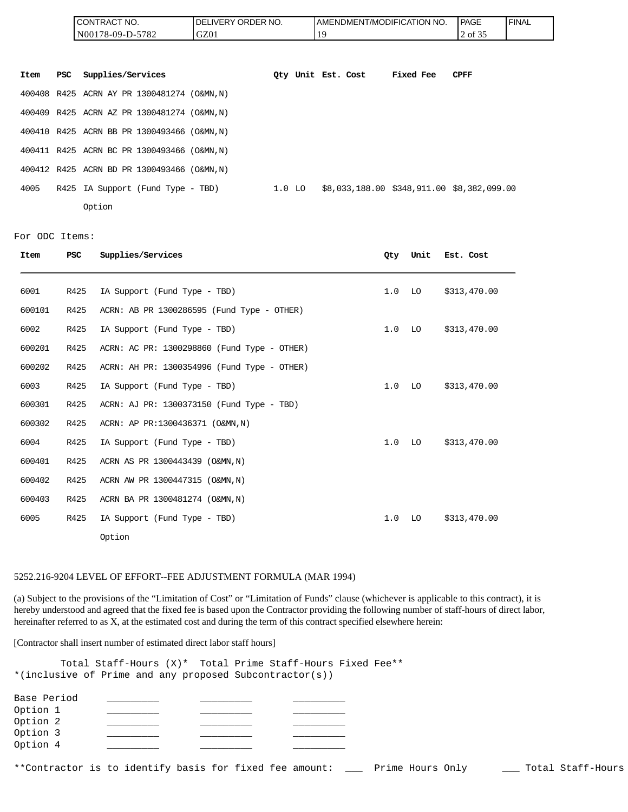| <b>CONTRACT NO.</b> | NO.<br><b>DELIVERY ORDER</b> | AMENDMENT/MODIFICATION NO. | l PAGE                          | <b>FINAL</b> |
|---------------------|------------------------------|----------------------------|---------------------------------|--------------|
| N00178-09-D-5782    | GZ01                         |                            | $\sim$ $\sim$ $\sim$<br>2 of 35 |              |

| Item | PSC | Supplies/Services                           |        | Oty Unit Est. Cost |  | Fixed Fee | <b>CPFF</b>                                |
|------|-----|---------------------------------------------|--------|--------------------|--|-----------|--------------------------------------------|
|      |     | 400408 R425 ACRN AY PR 1300481274 (O&MN, N) |        |                    |  |           |                                            |
|      |     | 400409 R425 ACRN AZ PR 1300481274 (O&MN, N) |        |                    |  |           |                                            |
|      |     | 400410 R425 ACRN BB PR 1300493466 (O&MN, N) |        |                    |  |           |                                            |
|      |     | 400411 R425 ACRN BC PR 1300493466 (O&MN, N) |        |                    |  |           |                                            |
|      |     | 400412 R425 ACRN BD PR 1300493466 (O&MN, N) |        |                    |  |           |                                            |
| 4005 |     | R425 IA Support (Fund Type - TBD)           | 1.0 LO |                    |  |           | \$8,033,188.00 \$348,911.00 \$8,382,099.00 |
|      |     | Option                                      |        |                    |  |           |                                            |

For ODC Items:

| Item   | <b>PSC</b> | Supplies/Services                           | Qty | Unit | Est. Cost    |
|--------|------------|---------------------------------------------|-----|------|--------------|
| 6001   | R425       | IA Support (Fund Type - TBD)                | 1.0 | LO   | \$313,470.00 |
| 600101 | R425       | ACRN: AB PR 1300286595 (Fund Type - OTHER)  |     |      |              |
| 6002   | R425       | IA Support (Fund Type - TBD)                | 1.0 | LO   | \$313,470.00 |
| 600201 | R425       | ACRN: AC PR: 1300298860 (Fund Type - OTHER) |     |      |              |
| 600202 | R425       | ACRN: AH PR: 1300354996 (Fund Type - OTHER) |     |      |              |
| 6003   | R425       | IA Support (Fund Type - TBD)                | 1.0 | LO   | \$313,470.00 |
| 600301 | R425       | ACRN: AJ PR: 1300373150 (Fund Type - TBD)   |     |      |              |
| 600302 | R425       | ACRN: AP PR:1300436371 (O&MN, N)            |     |      |              |
| 6004   | R425       | IA Support (Fund Type - TBD)                | 1.0 | LO   | \$313,470.00 |
| 600401 | R425       | ACRN AS PR 1300443439 (O&MN, N)             |     |      |              |
| 600402 | R425       | ACRN AW PR 1300447315 (O&MN, N)             |     |      |              |
| 600403 | R425       | ACRN BA PR 1300481274 (O&MN, N)             |     |      |              |
| 6005   | R425       | IA Support (Fund Type - TBD)                | 1.0 | LO   | \$313,470.00 |
|        |            | Option                                      |     |      |              |

#### 5252.216-9204 LEVEL OF EFFORT--FEE ADJUSTMENT FORMULA (MAR 1994)

(a) Subject to the provisions of the "Limitation of Cost" or "Limitation of Funds" clause (whichever is applicable to this contract), it is hereby understood and agreed that the fixed fee is based upon the Contractor providing the following number of staff-hours of direct labor, hereinafter referred to as X, at the estimated cost and during the term of this contract specified elsewhere herein:

[Contractor shall insert number of estimated direct labor staff hours]

Total Staff-Hours (X)\* Total Prime Staff-Hours Fixed Fee\*\* \*(inclusive of Prime and any proposed Subcontractor(s))

| Base Period |  |  |
|-------------|--|--|
| Option 1    |  |  |
| Option 2    |  |  |
| Option 3    |  |  |
| Option 4    |  |  |

\*\*Contractor is to identify basis for fixed fee amount: \_\_\_ Prime Hours Only \_\_\_ Total Staff-Hours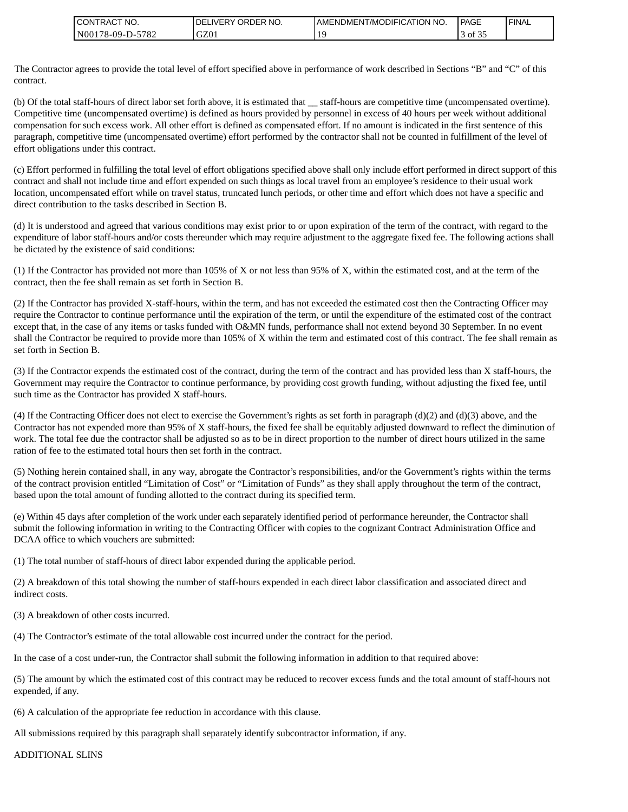| <b>CONTRACT NO.</b>                           | NO.<br>' ORDER<br>.IVERY<br>DELI | AMENDMENT/MODIFICATION NO. | PAGE        | ' FINAL |
|-----------------------------------------------|----------------------------------|----------------------------|-------------|---------|
| -5782<br>N00 <sub>1</sub><br>$178 - 09 - D -$ | GZ01                             |                            | 0Ť<br>. J . |         |

The Contractor agrees to provide the total level of effort specified above in performance of work described in Sections "B" and "C" of this contract.

(b) Of the total staff-hours of direct labor set forth above, it is estimated that \_\_ staff-hours are competitive time (uncompensated overtime). Competitive time (uncompensated overtime) is defined as hours provided by personnel in excess of 40 hours per week without additional compensation for such excess work. All other effort is defined as compensated effort. If no amount is indicated in the first sentence of this paragraph, competitive time (uncompensated overtime) effort performed by the contractor shall not be counted in fulfillment of the level of effort obligations under this contract.

(c) Effort performed in fulfilling the total level of effort obligations specified above shall only include effort performed in direct support of this contract and shall not include time and effort expended on such things as local travel from an employee's residence to their usual work location, uncompensated effort while on travel status, truncated lunch periods, or other time and effort which does not have a specific and direct contribution to the tasks described in Section B.

(d) It is understood and agreed that various conditions may exist prior to or upon expiration of the term of the contract, with regard to the expenditure of labor staff-hours and/or costs thereunder which may require adjustment to the aggregate fixed fee. The following actions shall be dictated by the existence of said conditions:

(1) If the Contractor has provided not more than 105% of X or not less than 95% of X, within the estimated cost, and at the term of the contract, then the fee shall remain as set forth in Section B.

(2) If the Contractor has provided X-staff-hours, within the term, and has not exceeded the estimated cost then the Contracting Officer may require the Contractor to continue performance until the expiration of the term, or until the expenditure of the estimated cost of the contract except that, in the case of any items or tasks funded with O&MN funds, performance shall not extend beyond 30 September. In no event shall the Contractor be required to provide more than 105% of X within the term and estimated cost of this contract. The fee shall remain as set forth in Section B. CONTRACT NO.<br>
NO0178-09-D-5<br>
The Contractor agrees to provide<br>
contract.<br>
(b) Of the total staff-hours of dir<br>
Competitive time (uncompensate<br>
cerfort obligations under this contered for the contract and shall not include

(3) If the Contractor expends the estimated cost of the contract, during the term of the contract and has provided less than X staff-hours, the Government may require the Contractor to continue performance, by providing cost growth funding, without adjusting the fixed fee, until such time as the Contractor has provided X staff-hours.

(4) If the Contracting Officer does not elect to exercise the Government's rights as set forth in paragraph (d)(2) and (d)(3) above, and the Contractor has not expended more than 95% of X staff-hours, the fixed fee shall be equitably adjusted downward to reflect the diminution of work. The total fee due the contractor shall be adjusted so as to be in direct proportion to the number of direct hours utilized in the same ration of fee to the estimated total hours then set forth in the contract.

(5) Nothing herein contained shall, in any way, abrogate the Contractor's responsibilities, and/or the Government's rights within the terms of the contract provision entitled "Limitation of Cost" or "Limitation of Funds" as they shall apply throughout the term of the contract, based upon the total amount of funding allotted to the contract during its specified term.

(e) Within 45 days after completion of the work under each separately identified period of performance hereunder, the Contractor shall submit the following information in writing to the Contracting Officer with copies to the cognizant Contract Administration Office and DCAA office to which vouchers are submitted:

(1) The total number of staff-hours of direct labor expended during the applicable period.

(2) A breakdown of this total showing the number of staff-hours expended in each direct labor classification and associated direct and indirect costs.

(3) A breakdown of other costs incurred.

(4) The Contractor's estimate of the total allowable cost incurred under the contract for the period.

In the case of a cost under-run, the Contractor shall submit the following information in addition to that required above:

(5) The amount by which the estimated cost of this contract may be reduced to recover excess funds and the total amount of staff-hours not expended, if any.

(6) A calculation of the appropriate fee reduction in accordance with this clause.

All submissions required by this paragraph shall separately identify subcontractor information, if any.

**ADDITIONAL SLINS**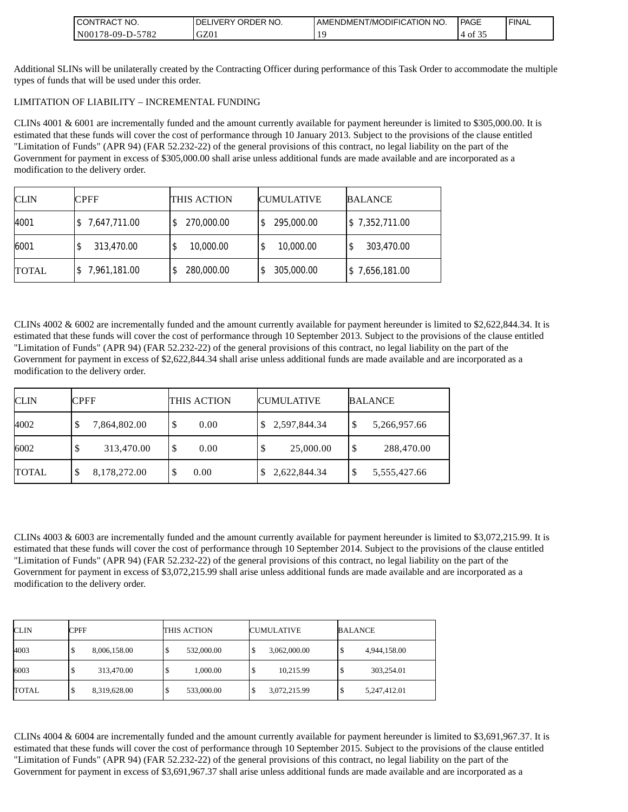| CT NO.<br><b>LCONT</b><br>TRAC.                 | <b>ORDER</b><br>NO.<br><b>IVERY</b><br>DEL | I AMENDMENT/MODIFICATION NO. | <b>IPAGE</b> | <b>FINAL</b> |
|-------------------------------------------------|--------------------------------------------|------------------------------|--------------|--------------|
| 5700<br>N <sub>00</sub><br>78-09-D<br>∠ ⊙'<br>. | GZ01                                       |                              | ΟĪ           |              |

Additional SLINs will be unilaterally created by the Contracting Officer during performance of this Task Order to accommodate the multiple types of funds that will be used under this order.

#### LIMITATION OF LIABILITY – INCREMENTAL FUNDING

CLINs 4001 & 6001 are incrementally funded and the amount currently available for payment hereunder is limited to \$305,000.00. It is estimated that these funds will cover the cost of performance through 10 January 2013. Subject to the provisions of the clause entitled "Limitation of Funds" (APR 94) (FAR 52.232-22) of the general provisions of this contract, no legal liability on the part of the Government for payment in excess of \$305,000.00 shall arise unless additional funds are made available and are incorporated as a modification to the delivery order.

| <b>CLIN</b>  | <b>CPFF</b>  | THIS ACTION     | <b>CUMULATIVE</b> | <b>BALANCE</b> |
|--------------|--------------|-----------------|-------------------|----------------|
| 4001         | 7,647,711.00 | 270,000.00      | 295,000.00        | \$7,352,711.00 |
| 6001         | 313,470.00   | 10,000.00<br>\$ | 10,000.00         | 303,470.00     |
| <b>TOTAL</b> | 7,961,181.00 | 280,000.00      | 305,000.00        | \$7,656,181.00 |

CLINs 4002 & 6002 are incrementally funded and the amount currently available for payment hereunder is limited to \$2,622,844.34. It is estimated that these funds will cover the cost of performance through 10 September 2013. Subject to the provisions of the clause entitled "Limitation of Funds" (APR 94) (FAR 52.232-22) of the general provisions of this contract, no legal liability on the part of the Government for payment in excess of \$2,622,844.34 shall arise unless additional funds are made available and are incorporated as a modification to the delivery order.

| <b>CLIN</b>  | <b>CPFF</b>  | THIS ACTION | <b>CUMULATIVE</b> | <b>BALANCE</b>    |
|--------------|--------------|-------------|-------------------|-------------------|
| 4002         | 7,864,802.00 | 0.00<br>D   | \$2,597,844.34    | 5,266,957.66<br>Φ |
| 6002         | 313,470.00   | 0.00<br>ъ   | 25,000.00<br>۰D   | 288,470.00<br>S   |
| <b>TOTAL</b> | 8,178,272.00 | 0.00        | 2,622,844.34      | 5,555,427.66<br>S |

CLINs 4003 & 6003 are incrementally funded and the amount currently available for payment hereunder is limited to \$3,072,215.99. It is estimated that these funds will cover the cost of performance through 10 September 2014. Subject to the provisions of the clause entitled "Limitation of Funds" (APR 94) (FAR 52.232-22) of the general provisions of this contract, no legal liability on the part of the Government for payment in excess of \$3,072,215.99 shall arise unless additional funds are made available and are incorporated as a modification to the delivery order.

| <b>CLIN</b>  | CPFF              | THIS ACTION | <b>CUMULATIVE</b>  | BALANCE           |
|--------------|-------------------|-------------|--------------------|-------------------|
| 4003         | 8,006,158.00<br>Φ | 532,000.00  | 3,062,000.00       | 4,944,158.00<br>Φ |
| 6003         | 313,470.00<br>Φ   | 1,000.00    | 10,215.99<br>Φ     | 303,254.01<br>ъ   |
| <b>TOTAL</b> | 8,319,628.00<br>Φ | 533,000.00  | 3,072,215.99<br>۰D | 5,247,412.01<br>Φ |

CLINs 4004 & 6004 are incrementally funded and the amount currently available for payment hereunder is limited to \$3,691,967.37. It is estimated that these funds will cover the cost of performance through 10 September 2015. Subject to the provisions of the clause entitled "Limitation of Funds" (APR 94) (FAR 52.232-22) of the general provisions of this contract, no legal liability on the part of the Government for payment in excess of \$3,691,967.37 shall arise unless additional funds are made available and are incorporated as a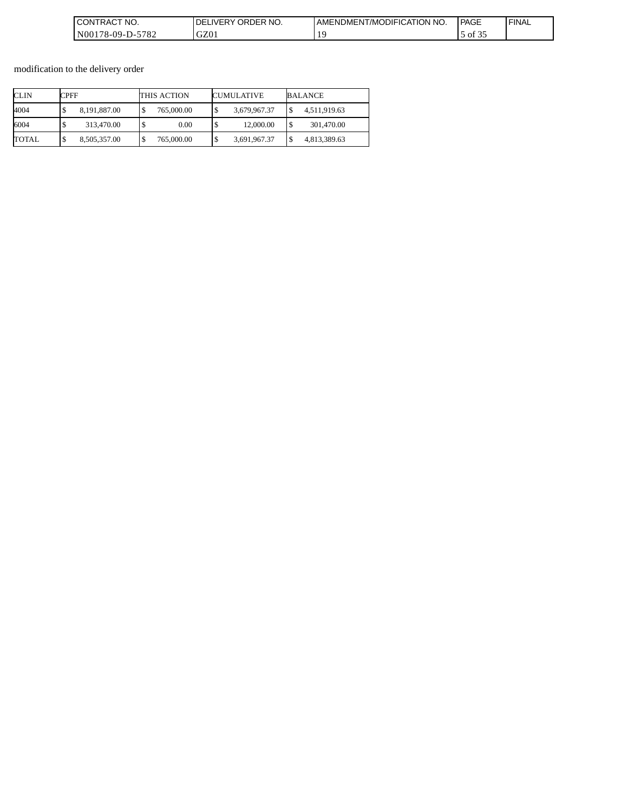| CONTRACT<br>'NO.                           | ORDER<br>NO.<br>_IVERY.<br>DE | AMENDMENT/MODIFICATION NO. | <b>PAGE</b>                       | <b>FINAL</b> |
|--------------------------------------------|-------------------------------|----------------------------|-----------------------------------|--------------|
| $-5782$<br>N <sub>0</sub> 01<br>$78-09-D-$ | GZ01                          |                            | $\sim$ $\sim$ $\sim$<br>ΟĪ<br>. ب |              |

modification to the delivery order

| CLIN  | CPFF               | THIS ACTION | <b>CUMULATIVE</b> | BALANCE            |
|-------|--------------------|-------------|-------------------|--------------------|
| 4004  | 8.191.887.00<br>۰D | 765,000.00  | 3,679,967.37      | 4,511,919.63       |
| 6004  | 313,470.00<br>٠D   | 0.00        | 12,000.00         | 301,470.00<br>l \$ |
| TOTAL | 8,505,357.00<br>S  | 765,000.00  | 3,691,967.37      | 4,813,389.63       |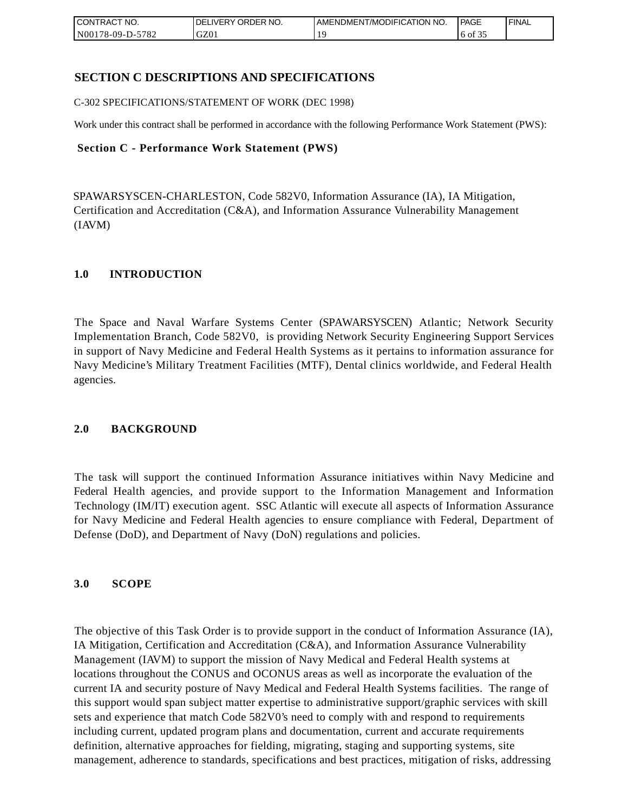| CONTRACT<br>CT NO.                                    | <b>ORDER</b><br>NO.<br><b>DELIVERY</b> | I AMENDMENT/MODIFICATION NO. | <b>PAGE</b>   | <b>I FINAL</b> |
|-------------------------------------------------------|----------------------------------------|------------------------------|---------------|----------------|
| $-5782$<br>N <sub>001</sub><br>*78-09-D- <sub>~</sub> | GZ0 <sub>1</sub>                       |                              | 6 of<br>. J . |                |

## **SECTION C DESCRIPTIONS AND SPECIFICATIONS**

C-302 SPECIFICATIONS/STATEMENT OF WORK (DEC 1998)

Work under this contract shall be performed in accordance with the following Performance Work Statement (PWS):

#### **Section C - Performance Work Statement (PWS)**

SPAWARSYSCEN-CHARLESTON, Code 582V0, Information Assurance (IA), IA Mitigation, Certification and Accreditation (C&A), and Information Assurance Vulnerability Management (IAVM)

### **1.0 INTRODUCTION**

The Space and Naval Warfare Systems Center (SPAWARSYSCEN) Atlantic; Network Security Implementation Branch, Code 582V0, is providing Network Security Engineering Support Services in support of Navy Medicine and Federal Health Systems as it pertains to information assurance for Navy Medicine's Military Treatment Facilities (MTF), Dental clinics worldwide, and Federal Health agencies.

### **2.0 BACKGROUND**

The task will support the continued Information Assurance initiatives within Navy Medicine and Federal Health agencies, and provide support to the Information Management and Information Technology (IM/IT) execution agent. SSC Atlantic will execute all aspects of Information Assurance for Navy Medicine and Federal Health agencies to ensure compliance with Federal, Department of Defense (DoD), and Department of Navy (DoN) regulations and policies.

### **3.0 SCOPE**

The objective of this Task Order is to provide support in the conduct of Information Assurance (IA), IA Mitigation, Certification and Accreditation (C&A), and Information Assurance Vulnerability Management (IAVM) to support the mission of Navy Medical and Federal Health systems at locations throughout the CONUS and OCONUS areas as well as incorporate the evaluation of the current IA and security posture of Navy Medical and Federal Health Systems facilities. The range of this support would span subject matter expertise to administrative support/graphic services with skill sets and experience that match Code 582V0's need to comply with and respond to requirements including current, updated program plans and documentation, current and accurate requirements definition, alternative approaches for fielding, migrating, staging and supporting systems, site management, adherence to standards, specifications and best practices, mitigation of risks, addressing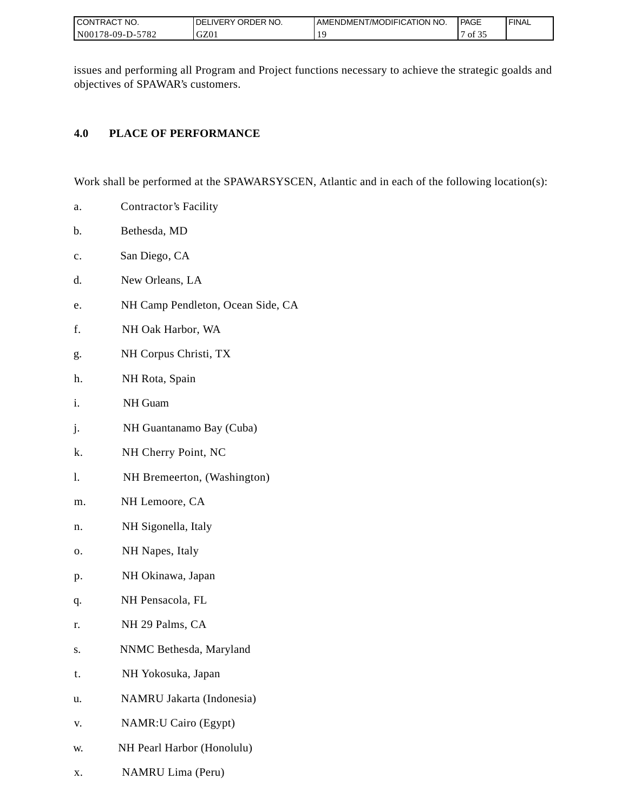| I CONTRACT NO.          | ORDER NO.<br>LIVERY<br>DEL | AMENDMENT/MODIFICATION NO. | PAGE                       | ' FINAL |
|-------------------------|----------------------------|----------------------------|----------------------------|---------|
| 5782<br>N001<br>78-09-L | GZ0                        |                            | $\sim$ $\sim$ $\sim$<br>ΟĪ |         |

issues and performing all Program and Project functions necessary to achieve the strategic goalds and objectives of SPAWAR's customers.

## **4.0 PLACE OF PERFORMANCE**

Work shall be performed at the SPAWARSYSCEN, Atlantic and in each of the following location(s):

- a. Contractor's Facility
- b. Bethesda, MD
- c. San Diego, CA
- d. New Orleans, LA
- e. NH Camp Pendleton, Ocean Side, CA
- f. NH Oak Harbor, WA
- g. NH Corpus Christi, TX
- h. NH Rota, Spain
- i. NH Guam
- j. NH Guantanamo Bay (Cuba)
- k. NH Cherry Point, NC
- l. NH Bremeerton, (Washington)
- m. NH Lemoore, CA
- n. NH Sigonella, Italy
- o. NH Napes, Italy
- p. NH Okinawa, Japan
- q. NH Pensacola, FL
- r. NH 29 Palms, CA
- s. NNMC Bethesda, Maryland
- t. NH Yokosuka, Japan
- u. NAMRU Jakarta (Indonesia)
- v. NAMR:U Cairo (Egypt)
- w. NH Pearl Harbor (Honolulu)
- x. NAMRU Lima (Peru)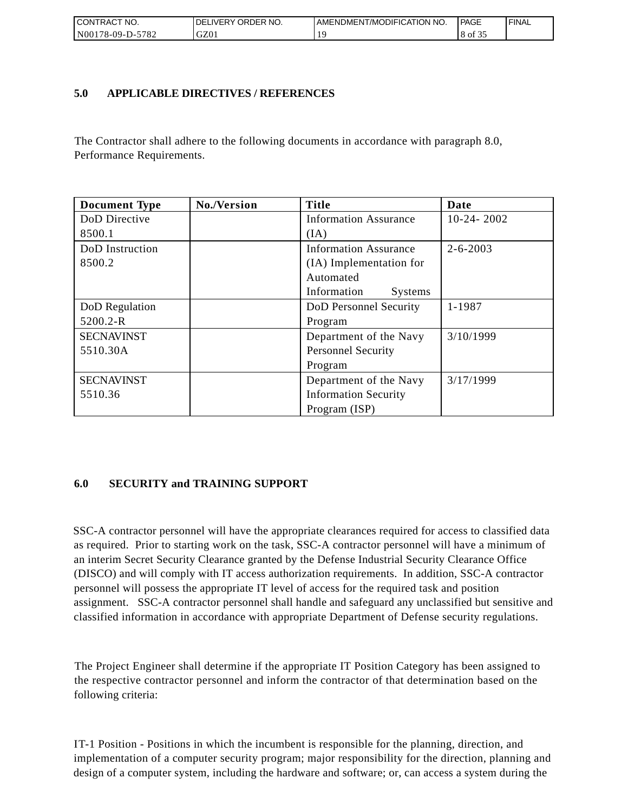| CONTRACT<br>°CT NO.       | ' ORDER NO.<br><b>DELIVERY</b> | AMENDMENT/MODIFICATION NO. | PAGE   | 'FINAL |
|---------------------------|--------------------------------|----------------------------|--------|--------|
| N001<br>5782<br>78-09-D-J | GZ01                           |                            | 18013. |        |

### **5.0 APPLICABLE DIRECTIVES / REFERENCES**

The Contractor shall adhere to the following documents in accordance with paragraph 8.0, Performance Requirements.

| <b>Document Type</b> | No./Version | <b>Title</b>                  | Date           |
|----------------------|-------------|-------------------------------|----------------|
| DoD Directive        |             | <b>Information Assurance</b>  | $10-24-2002$   |
| 8500.1               |             | (IA)                          |                |
| DoD Instruction      |             | <b>Information Assurance</b>  | $2 - 6 - 2003$ |
| 8500.2               |             | (IA) Implementation for       |                |
|                      |             | Automated                     |                |
|                      |             | Information<br><b>Systems</b> |                |
| DoD Regulation       |             | DoD Personnel Security        | 1-1987         |
| 5200.2-R             |             | Program                       |                |
| <b>SECNAVINST</b>    |             | Department of the Navy        | 3/10/1999      |
| 5510.30A             |             | <b>Personnel Security</b>     |                |
|                      |             | Program                       |                |
| <b>SECNAVINST</b>    |             | Department of the Navy        | 3/17/1999      |
| 5510.36              |             | <b>Information Security</b>   |                |
|                      |             | Program (ISP)                 |                |

## **6.0 SECURITY and TRAINING SUPPORT**

SSC-A contractor personnel will have the appropriate clearances required for access to classified data as required. Prior to starting work on the task, SSC-A contractor personnel will have a minimum of an interim Secret Security Clearance granted by the Defense Industrial Security Clearance Office (DISCO) and will comply with IT access authorization requirements. In addition, SSC-A contractor personnel will possess the appropriate IT level of access for the required task and position assignment. SSC-A contractor personnel shall handle and safeguard any unclassified but sensitive and classified information in accordance with appropriate Department of Defense security regulations.

The Project Engineer shall determine if the appropriate IT Position Category has been assigned to the respective contractor personnel and inform the contractor of that determination based on the following criteria:

IT-1 Position - Positions in which the incumbent is responsible for the planning, direction, and implementation of a computer security program; major responsibility for the direction, planning and design of a computer system, including the hardware and software; or, can access a system during the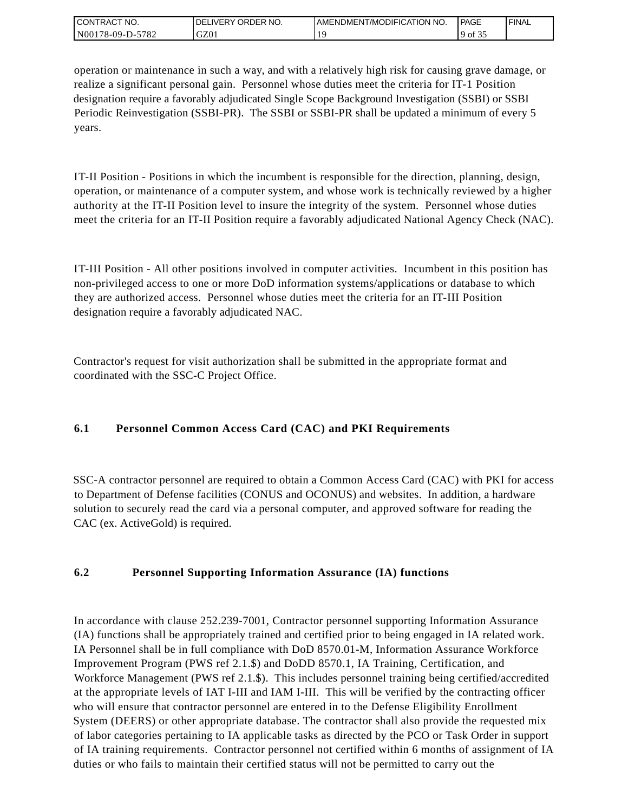| <b>CONTRACT NO.</b>            | NO.<br>' ORDER<br><b>DELIVERY</b> | AMENDMENT/MODIFICATION NO. | PAGE        | <b>I FINAL</b> |
|--------------------------------|-----------------------------------|----------------------------|-------------|----------------|
| 5782<br>N001<br>'8-09-I<br>ב-⊂ | GZ01                              |                            | ΟĪ<br>. J . |                |

operation or maintenance in such a way, and with a relatively high risk for causing grave damage, or realize a significant personal gain. Personnel whose duties meet the criteria for IT-1 Position designation require a favorably adjudicated Single Scope Background Investigation (SSBI) or SSBI Periodic Reinvestigation (SSBI-PR). The SSBI or SSBI-PR shall be updated a minimum of every 5 years.

IT-II Position - Positions in which the incumbent is responsible for the direction, planning, design, operation, or maintenance of a computer system, and whose work is technically reviewed by a higher authority at the IT-II Position level to insure the integrity of the system. Personnel whose duties meet the criteria for an IT-II Position require a favorably adjudicated National Agency Check (NAC).

IT-III Position - All other positions involved in computer activities. Incumbent in this position has non-privileged access to one or more DoD information systems/applications or database to which they are authorized access. Personnel whose duties meet the criteria for an IT-III Position designation require a favorably adjudicated NAC.

Contractor's request for visit authorization shall be submitted in the appropriate format and coordinated with the SSC-C Project Office.

# **6.1 Personnel Common Access Card (CAC) and PKI Requirements**

SSC-A contractor personnel are required to obtain a Common Access Card (CAC) with PKI for access to Department of Defense facilities (CONUS and OCONUS) and websites. In addition, a hardware solution to securely read the card via a personal computer, and approved software for reading the CAC (ex. ActiveGold) is required.

# **6.2 Personnel Supporting Information Assurance (IA) functions**

In accordance with clause 252.239-7001, Contractor personnel supporting Information Assurance (IA) functions shall be appropriately trained and certified prior to being engaged in IA related work. IA Personnel shall be in full compliance with DoD 8570.01-M, Information Assurance Workforce Improvement Program (PWS ref 2.1.\$) and DoDD 8570.1, IA Training, Certification, and Workforce Management (PWS ref 2.1.\$). This includes personnel training being certified/accredited at the appropriate levels of IAT I-III and IAM I-III. This will be verified by the contracting officer who will ensure that contractor personnel are entered in to the Defense Eligibility Enrollment System (DEERS) or other appropriate database. The contractor shall also provide the requested mix of labor categories pertaining to IA applicable tasks as directed by the PCO or Task Order in support of IA training requirements. Contractor personnel not certified within 6 months of assignment of IA duties or who fails to maintain their certified status will not be permitted to carry out the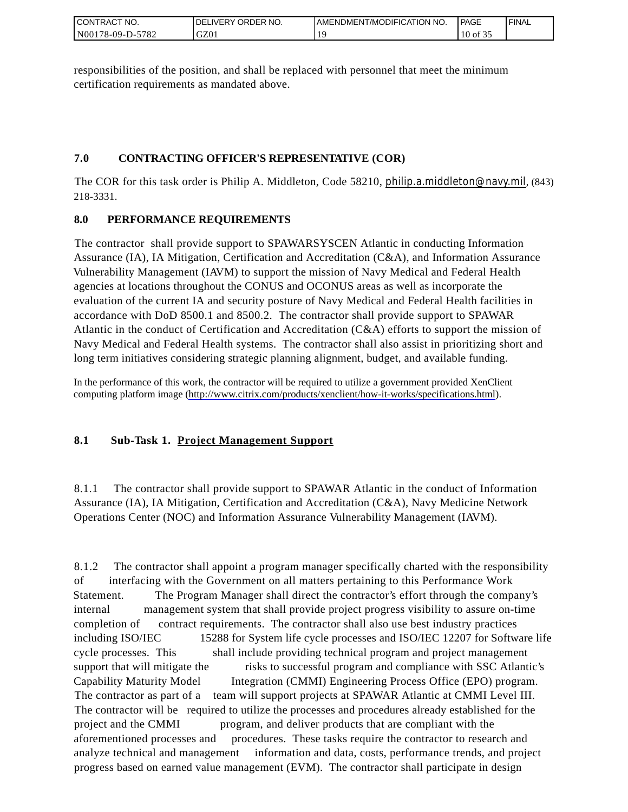| CONTRACT<br>°CT NO.      | NO.<br>' ORDER<br><b>DELIVERY</b> | AMENDMENT/MODIFICATION NO. | <b>PAGE</b> | ' FINAL |
|--------------------------|-----------------------------------|----------------------------|-------------|---------|
| N00178-09-D-5<br>$-5782$ | GZ01                              |                            | 10 of 35    |         |

responsibilities of the position, and shall be replaced with personnel that meet the minimum certification requirements as mandated above.

# **7.0 CONTRACTING OFFICER'S REPRESENTATIVE (COR)**

The COR for this task order is Philip A. Middleton, Code 58210, [philip.a.middleton@navy.mil](mailto:cphilip.a.middleton@navy.mil), (843) 218-3331.

# **8.0 PERFORMANCE REQUIREMENTS**

The contractor shall provide support to SPAWARSYSCEN Atlantic in conducting Information Assurance (IA), IA Mitigation, Certification and Accreditation (C&A), and Information Assurance Vulnerability Management (IAVM) to support the mission of Navy Medical and Federal Health agencies at locations throughout the CONUS and OCONUS areas as well as incorporate the evaluation of the current IA and security posture of Navy Medical and Federal Health facilities in accordance with DoD 8500.1 and 8500.2. The contractor shall provide support to SPAWAR Atlantic in the conduct of Certification and Accreditation (C&A) efforts to support the mission of Navy Medical and Federal Health systems. The contractor shall also assist in prioritizing short and long term initiatives considering strategic planning alignment, budget, and available funding.

In the performance of this work, the contractor will be required to utilize a government provided XenClient computing platform image [\(http://www.citrix.com/products/xenclient/how-it-works/specifications.html\)](http://www.citrix.com/products/xenclient/how-it-works/specifications.html).

# **8.1 Sub-Task 1. Project Management Support**

8.1.1 The contractor shall provide support to SPAWAR Atlantic in the conduct of Information Assurance (IA), IA Mitigation, Certification and Accreditation (C&A), Navy Medicine Network Operations Center (NOC) and Information Assurance Vulnerability Management (IAVM).

8.1.2 The contractor shall appoint a program manager specifically charted with the responsibility of interfacing with the Government on all matters pertaining to this Performance Work Statement. The Program Manager shall direct the contractor's effort through the company's internal management system that shall provide project progress visibility to assure on-time completion of contract requirements. The contractor shall also use best industry practices including ISO/IEC 15288 for System life cycle processes and ISO/IEC 12207 for Software life cycle processes. This shall include providing technical program and project management support that will mitigate the risks to successful program and compliance with SSC Atlantic's Capability Maturity Model Integration (CMMI) Engineering Process Office (EPO) program. The contractor as part of a team will support projects at SPAWAR Atlantic at CMMI Level III. The contractor will be required to utilize the processes and procedures already established for the project and the CMMI program, and deliver products that are compliant with the aforementioned processes and procedures. These tasks require the contractor to research and analyze technical and management information and data, costs, performance trends, and project progress based on earned value management (EVM). The contractor shall participate in design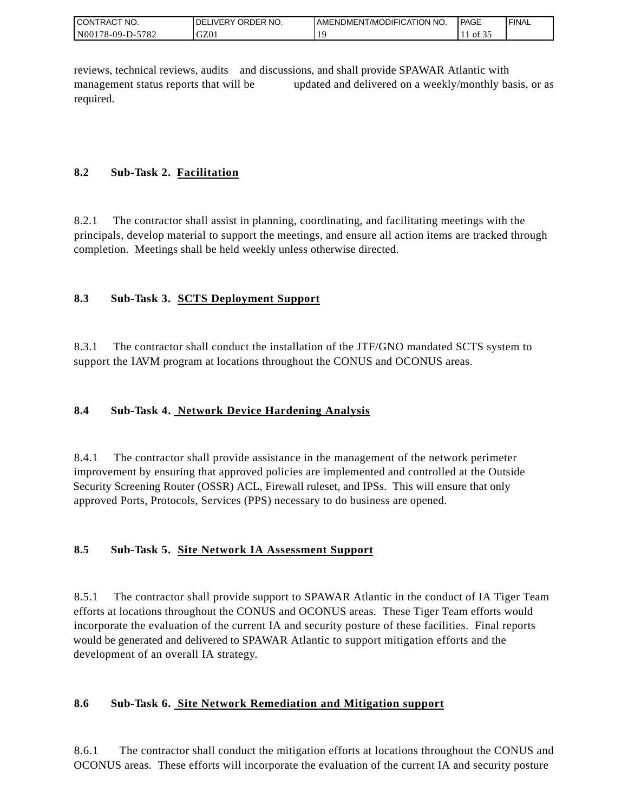| <b>CON</b><br>`CT NO.<br>TRAC | ORDER NO.<br><b>IVERY</b><br>DEI | AMENDMENT/MODIFICATION NO. | <sup>1</sup> PAGE          | ' FINAL |
|-------------------------------|----------------------------------|----------------------------|----------------------------|---------|
| N001<br>5782<br>$178-09-D$ -  | GZ01                             |                            | $\sim$ $\sim$ $\sim$<br>оf |         |

reviews, technical reviews, audits and discussions, and shall provide SPAWAR Atlantic with management status reports that will be updated and delivered on a weekly/monthly basis, or as required.

# **8.2 Sub-Task 2. Facilitation**

8.2.1 The contractor shall assist in planning, coordinating, and facilitating meetings with the principals, develop material to support the meetings, and ensure all action items are tracked through completion. Meetings shall be held weekly unless otherwise directed.

# **8.3 Sub-Task 3. SCTS Deployment Support**

8.3.1 The contractor shall conduct the installation of the JTF/GNO mandated SCTS system to support the IAVM program at locations throughout the CONUS and OCONUS areas.

# **8.4 Sub-Task 4. Network Device Hardening Analysis**

8.4.1 The contractor shall provide assistance in the management of the network perimeter improvement by ensuring that approved policies are implemented and controlled at the Outside Security Screening Router (OSSR) ACL, Firewall ruleset, and IPSs. This will ensure that only approved Ports, Protocols, Services (PPS) necessary to do business are opened.

## **8.5 Sub-Task 5. Site Network IA Assessment Support**

8.5.1 The contractor shall provide support to SPAWAR Atlantic in the conduct of IA Tiger Team efforts at locations throughout the CONUS and OCONUS areas. These Tiger Team efforts would incorporate the evaluation of the current IA and security posture of these facilities. Final reports would be generated and delivered to SPAWAR Atlantic to support mitigation efforts and the development of an overall IA strategy.

## **8.6 Sub-Task 6. Site Network Remediation and Mitigation support**

8.6.1 The contractor shall conduct the mitigation efforts at locations throughout the CONUS and OCONUS areas. These efforts will incorporate the evaluation of the current IA and security posture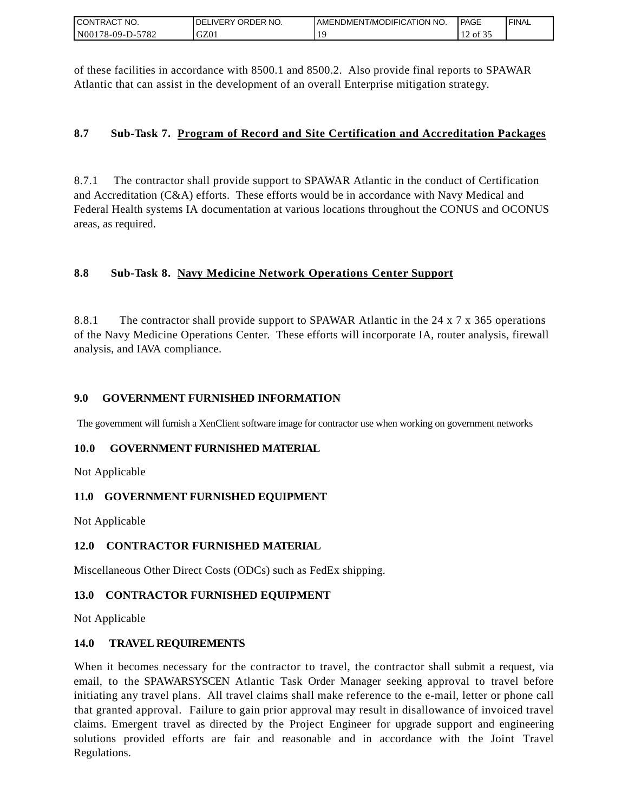| I CONTRACT NO.   | DELIVERY ORDER NO. | AMENDMENT/MODIFICATION NO. | <b>PAGE</b>    | ' FINAL |
|------------------|--------------------|----------------------------|----------------|---------|
| N00178-09-D-5782 | GZ01               |                            | $\prime$ of 5. |         |

of these facilities in accordance with 8500.1 and 8500.2. Also provide final reports to SPAWAR Atlantic that can assist in the development of an overall Enterprise mitigation strategy.

### **8.7 Sub-Task 7. Program of Record and Site Certification and Accreditation Packages**

8.7.1 The contractor shall provide support to SPAWAR Atlantic in the conduct of Certification and Accreditation (C&A) efforts. These efforts would be in accordance with Navy Medical and Federal Health systems IA documentation at various locations throughout the CONUS and OCONUS areas, as required.

## **8.8 Sub-Task 8. Navy Medicine Network Operations Center Support**

8.8.1 The contractor shall provide support to SPAWAR Atlantic in the 24 x 7 x 365 operations of the Navy Medicine Operations Center. These efforts will incorporate IA, router analysis, firewall analysis, and IAVA compliance.

### **9.0 GOVERNMENT FURNISHED INFORMATION**

The government will furnish a XenClient software image for contractor use when working on government networks

### **10.0 GOVERNMENT FURNISHED MATERIAL**

Not Applicable

### **11.0 GOVERNMENT FURNISHED EQUIPMENT**

Not Applicable

### **12.0 CONTRACTOR FURNISHED MATERIAL**

Miscellaneous Other Direct Costs (ODCs) such as FedEx shipping.

### **13.0 CONTRACTOR FURNISHED EQUIPMENT**

Not Applicable

### **14.0 TRAVEL REQUIREMENTS**

CONTRACT NO.<br>
NO0178-09-D-5<br>
CONTRACT NO.<br>
NO0178-09-D-5<br>
Of these facili<br>
Atlantic that of<br>
8.7 Sub-1<br>
8.7 Sub-1<br>
8.7 Sub-1<br>
8.8 Sub-1<br>
8.8 Sub-1<br>
8.8 Sub-1<br>
8.8.1 The of the Navy M<br>
8.8.1 The of the Navy M<br>
analysis, and When it becomes necessary for the contractor to travel, the contractor shall submit a request, via email, to the SPAWARSYSCEN Atlantic Task Order Manager seeking approval to travel before initiating any travel plans. All travel claims shall make reference to the e-mail, letter or phone call that granted approval. Failure to gain prior approval may result in disallowance of invoiced travel claims. Emergent travel as directed by the Project Engineer for upgrade support and engineering solutions provided efforts are fair and reasonable and in accordance with the Joint Travel Regulations.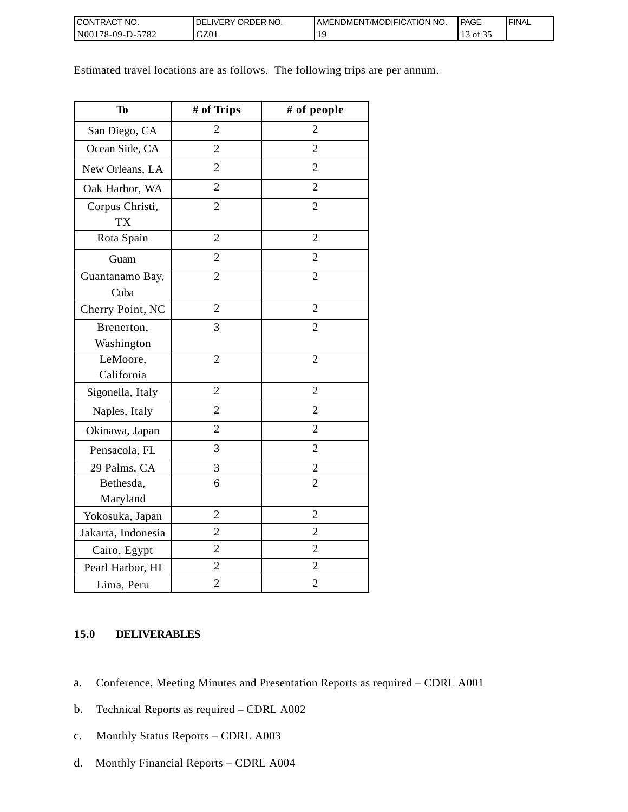| <b>CONTRACT NO.</b>     | NO.<br>DELIVERY ORDER | AMENDMENT/MODIFICATION NO. | PAGE  | <b>I FINAL</b> |
|-------------------------|-----------------------|----------------------------|-------|----------------|
| $N00178-09-D-2$<br>5782 | GZ01                  |                            | of 35 |                |

Estimated travel locations are as follows. The following trips are per annum.

| <b>To</b>                    | # of Trips     | # of people    |
|------------------------------|----------------|----------------|
| San Diego, CA                | $\overline{2}$ | $\overline{2}$ |
| Ocean Side, CA               | $\overline{2}$ | $\overline{2}$ |
| New Orleans, LA              | $\overline{2}$ | $\overline{2}$ |
| Oak Harbor, WA               | $\overline{2}$ | $\overline{2}$ |
| Corpus Christi,<br><b>TX</b> | $\overline{2}$ | $\overline{2}$ |
| Rota Spain                   | $\overline{2}$ | $\overline{2}$ |
| Guam                         | $\overline{2}$ | $\overline{2}$ |
| Guantanamo Bay,<br>Cuba      | $\overline{2}$ | $\overline{2}$ |
| Cherry Point, NC             | $\overline{2}$ | $\overline{2}$ |
| Brenerton,<br>Washington     | 3              | $\overline{2}$ |
| LeMoore,<br>California       | $\overline{2}$ | $\overline{2}$ |
| Sigonella, Italy             | $\overline{2}$ | $\overline{2}$ |
| Naples, Italy                | $\overline{2}$ | $\overline{2}$ |
| Okinawa, Japan               | $\overline{2}$ | $\overline{2}$ |
| Pensacola, FL                | 3              | $\overline{2}$ |
| 29 Palms, CA                 | 3              | $\overline{2}$ |
| Bethesda,<br>Maryland        | 6              | $\overline{2}$ |
| Yokosuka, Japan              | $\overline{2}$ | $\overline{2}$ |
| Jakarta, Indonesia           | $\overline{2}$ | $\overline{2}$ |
| Cairo, Egypt                 | $\overline{2}$ | $\overline{2}$ |
| Pearl Harbor, HI             | $\overline{2}$ | $\overline{c}$ |
| Lima, Peru                   | $\overline{2}$ | $\overline{2}$ |

### **15.0 DELIVERABLES**

- a. Conference, Meeting Minutes and Presentation Reports as required CDRL A001
- b. Technical Reports as required CDRL A002
- c. Monthly Status Reports CDRL A003
- d. Monthly Financial Reports CDRL A004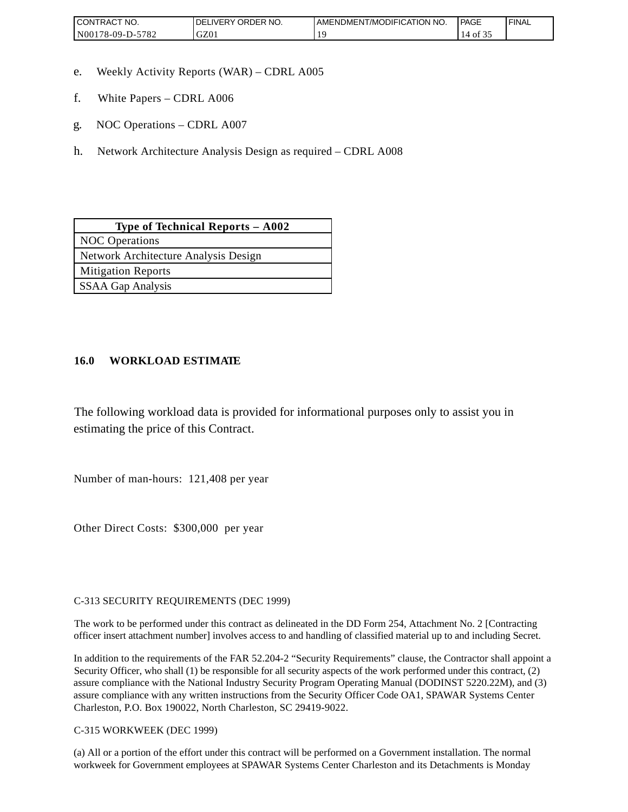| <b>CONTRAC</b><br>'NO.          | NO.<br><b>ORDER</b><br><b>DELIVERY</b> | AMENDMENT/MODIFICATION NO. | <b>PAGE</b> | 'FINAL |
|---------------------------------|----------------------------------------|----------------------------|-------------|--------|
| 5700<br>N00<br>78-09-D-.<br>104 | $\sim$<br>UZU.                         |                            | ΟĪ          |        |

- e. Weekly Activity Reports (WAR) CDRL A005
- f. White Papers CDRL A006
- g. NOC Operations CDRL A007
- h. Network Architecture Analysis Design as required CDRL A008

| Type of Technical Reports $-$ A002   |
|--------------------------------------|
| <b>NOC</b> Operations                |
| Network Architecture Analysis Design |
| <b>Mitigation Reports</b>            |
| SSAA Gap Analysis                    |

### **16.0 WORKLOAD ESTIMATE**

The following workload data is provided for informational purposes only to assist you in estimating the price of this Contract.

Number of man-hours: 121,408 per year

Other Direct Costs: \$300,000 per year

C-313 SECURITY REQUIREMENTS (DEC 1999)

The work to be performed under this contract as delineated in the DD Form 254, Attachment No. 2 [Contracting officer insert attachment number] involves access to and handling of classified material up to and including Secret.

In addition to the requirements of the FAR 52.204-2 "Security Requirements" clause, the Contractor shall appoint a Security Officer, who shall (1) be responsible for all security aspects of the work performed under this contract, (2) assure compliance with the National Industry Security Program Operating Manual (DODINST 5220.22M), and (3) assure compliance with any written instructions from the Security Officer Code OA1, SPAWAR Systems Center Charleston, P.O. Box 190022, North Charleston, SC 29419-9022.

C-315 WORKWEEK (DEC 1999)

(a) All or a portion of the effort under this contract will be performed on a Government installation. The normal workweek for Government employees at SPAWAR Systems Center Charleston and its Detachments is Monday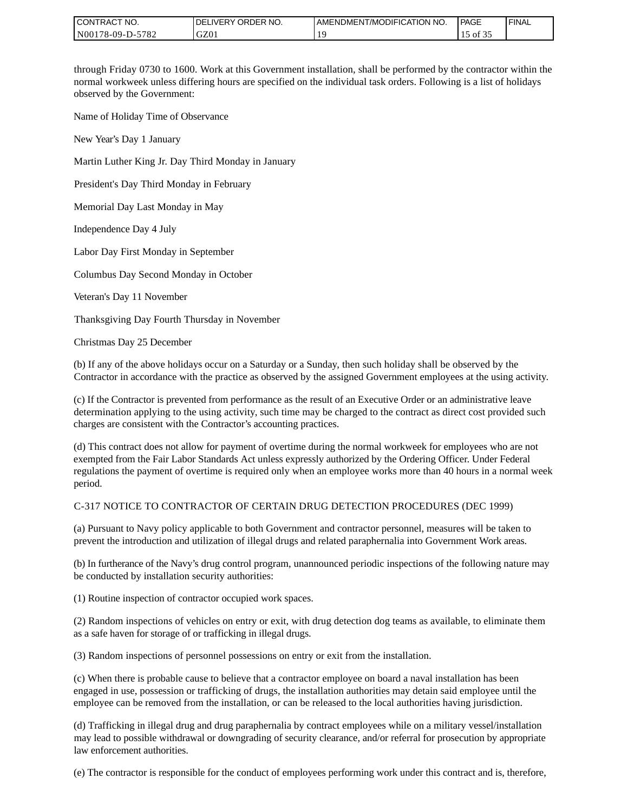| I CONTRACT NO.   | ' ORDER NO.<br><b>DELIVERY</b> | I AMENDMENT/MODIFICATION NO. | PAGE  | ' FINAL |
|------------------|--------------------------------|------------------------------|-------|---------|
| N00178-09-D-5782 | GZ01                           |                              | of 3: |         |

through Friday 0730 to 1600. Work at this Government installation, shall be performed by the contractor within the normal workweek unless differing hours are specified on the individual task orders. Following is a list of holidays observed by the Government:

Name of Holiday Time of Observance

New Year's Day 1 January

Martin Luther King Jr. Day Third Monday in January

President's Day Third Monday in February

Memorial Day Last Monday in May

Independence Day 4 July

Labor Day First Monday in September

Columbus Day Second Monday in October

Veteran's Day 11 November

Thanksgiving Day Fourth Thursday in November

Christmas Day 25 December

(b) If any of the above holidays occur on a Saturday or a Sunday, then such holiday shall be observed by the Contractor in accordance with the practice as observed by the assigned Government employees at the using activity.

(c) If the Contractor is prevented from performance as the result of an Executive Order or an administrative leave determination applying to the using activity, such time may be charged to the contract as direct cost provided such charges are consistent with the Contractor's accounting practices.

(d) This contract does not allow for payment of overtime during the normal workweek for employees who are not exempted from the Fair Labor Standards Act unless expressly authorized by the Ordering Officer. Under Federal regulations the payment of overtime is required only when an employee works more than 40 hours in a normal week period.

#### C-317 NOTICE TO CONTRACTOR OF CERTAIN DRUG DETECTION PROCEDURES (DEC 1999)

(a) Pursuant to Navy policy applicable to both Government and contractor personnel, measures will be taken to prevent the introduction and utilization of illegal drugs and related paraphernalia into Government Work areas.

(b) In furtherance of the Navy's drug control program, unannounced periodic inspections of the following nature may be conducted by installation security authorities:

(1) Routine inspection of contractor occupied work spaces.

(2) Random inspections of vehicles on entry or exit, with drug detection dog teams as available, to eliminate them as a safe haven for storage of or trafficking in illegal drugs.

(3) Random inspections of personnel possessions on entry or exit from the installation.

(c) When there is probable cause to believe that a contractor employee on board a naval installation has been engaged in use, possession or trafficking of drugs, the installation authorities may detain said employee until the employee can be removed from the installation, or can be released to the local authorities having jurisdiction.

(d) Trafficking in illegal drug and drug paraphernalia by contract employees while on a military vessel/installation may lead to possible withdrawal or downgrading of security clearance, and/or referral for prosecution by appropriate law enforcement authorities.

(e) The contractor is responsible for the conduct of employees performing work under this contract and is, therefore,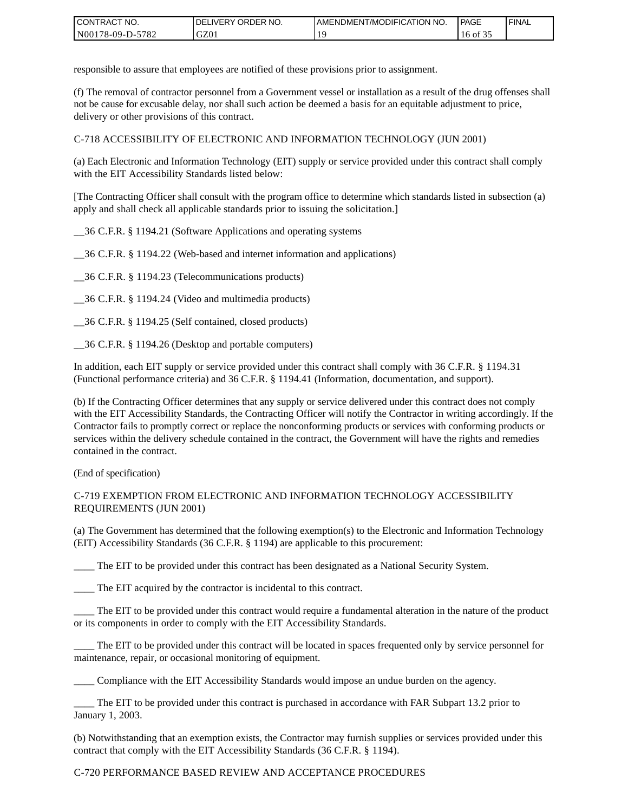| <b>CONTRACT</b><br>`CT NO. | ' ORDER<br>NO.<br><b>DELIVERY</b> | I AMENDMENT/MODIFICATION NO. | PAGE       | <b>I FINAL</b> |
|----------------------------|-----------------------------------|------------------------------|------------|----------------|
| $-5782$<br>N00178-09-D-5   | GZ01                              |                              | $16$ of 35 |                |

responsible to assure that employees are notified of these provisions prior to assignment.

(f) The removal of contractor personnel from a Government vessel or installation as a result of the drug offenses shall not be cause for excusable delay, nor shall such action be deemed a basis for an equitable adjustment to price, delivery or other provisions of this contract.

C-718 ACCESSIBILITY OF ELECTRONIC AND INFORMATION TECHNOLOGY (JUN 2001)

(a) Each Electronic and Information Technology (EIT) supply or service provided under this contract shall comply with the EIT Accessibility Standards listed below:

[The Contracting Officer shall consult with the program office to determine which standards listed in subsection (a) apply and shall check all applicable standards prior to issuing the solicitation.]

\_\_36 C.F.R. § 1194.21 (Software Applications and operating systems

\_\_36 C.F.R. § 1194.22 (Web-based and internet information and applications)

\_\_36 C.F.R. § 1194.23 (Telecommunications products)

\_\_36 C.F.R. § 1194.24 (Video and multimedia products)

\_\_36 C.F.R. § 1194.25 (Self contained, closed products)

\_\_36 C.F.R. § 1194.26 (Desktop and portable computers)

In addition, each EIT supply or service provided under this contract shall comply with 36 C.F.R. § 1194.31 (Functional performance criteria) and 36 C.F.R. § 1194.41 (Information, documentation, and support).

(b) If the Contracting Officer determines that any supply or service delivered under this contract does not comply with the EIT Accessibility Standards, the Contracting Officer will notify the Contractor in writing accordingly. If the Contractor fails to promptly correct or replace the nonconforming products or services with conforming products or services within the delivery schedule contained in the contract, the Government will have the rights and remedies contained in the contract.

(End of specification)

#### C-719 EXEMPTION FROM ELECTRONIC AND INFORMATION TECHNOLOGY ACCESSIBILITY REQUIREMENTS (JUN 2001)

(a) The Government has determined that the following exemption(s) to the Electronic and Information Technology (EIT) Accessibility Standards (36 C.F.R. § 1194) are applicable to this procurement:

The EIT to be provided under this contract has been designated as a National Security System.

\_\_\_\_ The EIT acquired by the contractor is incidental to this contract.

\_\_\_\_ The EIT to be provided under this contract would require a fundamental alteration in the nature of the product or its components in order to comply with the EIT Accessibility Standards.

The EIT to be provided under this contract will be located in spaces frequented only by service personnel for maintenance, repair, or occasional monitoring of equipment.

\_\_\_\_ Compliance with the EIT Accessibility Standards would impose an undue burden on the agency.

\_\_\_\_ The EIT to be provided under this contract is purchased in accordance with FAR Subpart 13.2 prior to January 1, 2003.

(b) Notwithstanding that an exemption exists, the Contractor may furnish supplies or services provided under this contract that comply with the EIT Accessibility Standards (36 C.F.R. § 1194).

#### C-720 PERFORMANCE BASED REVIEW AND ACCEPTANCE PROCEDURES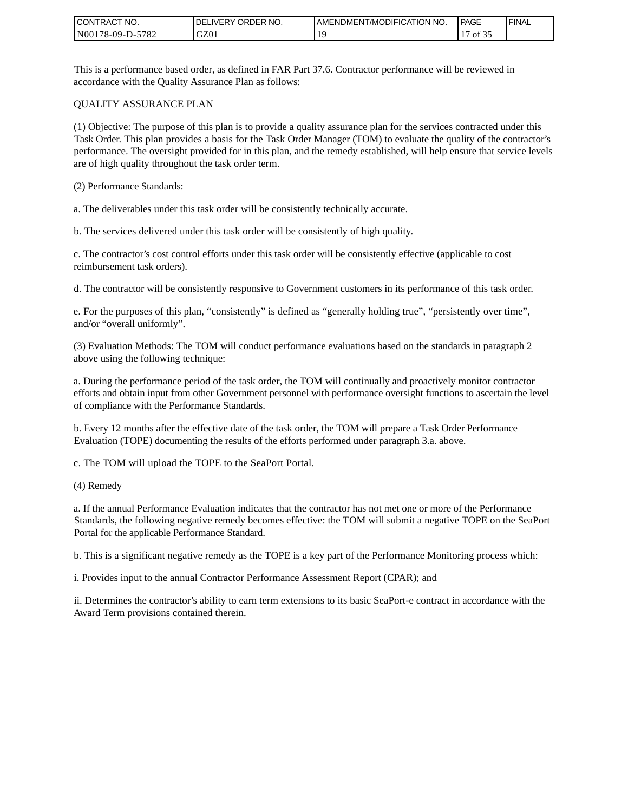| CONTRACT<br>`CT NO. | `NO.<br><b>DELIVERY ORDER</b> | AMENDMENT/MODIFICATION NO. | <b>PAGE</b> | ' FINAL |
|---------------------|-------------------------------|----------------------------|-------------|---------|
| N00178-09-D-5782    | GZ01                          |                            | οt          |         |

This is a performance based order, as defined in FAR Part 37.6. Contractor performance will be reviewed in accordance with the Quality Assurance Plan as follows:

#### QUALITY ASSURANCE PLAN

(1) Objective: The purpose of this plan is to provide a quality assurance plan for the services contracted under this Task Order. This plan provides a basis for the Task Order Manager (TOM) to evaluate the quality of the contractor's performance. The oversight provided for in this plan, and the remedy established, will help ensure that service levels are of high quality throughout the task order term.

(2) Performance Standards:

a. The deliverables under this task order will be consistently technically accurate.

b. The services delivered under this task order will be consistently of high quality.

c. The contractor's cost control efforts under this task order will be consistently effective (applicable to cost reimbursement task orders).

d. The contractor will be consistently responsive to Government customers in its performance of this task order.

e. For the purposes of this plan, "consistently" is defined as "generally holding true", "persistently over time", and/or "overall uniformly".

(3) Evaluation Methods: The TOM will conduct performance evaluations based on the standards in paragraph 2 above using the following technique:

a. During the performance period of the task order, the TOM will continually and proactively monitor contractor efforts and obtain input from other Government personnel with performance oversight functions to ascertain the level of compliance with the Performance Standards.

b. Every 12 months after the effective date of the task order, the TOM will prepare a Task Order Performance Evaluation (TOPE) documenting the results of the efforts performed under paragraph 3.a. above.

c. The TOM will upload the TOPE to the SeaPort Portal.

(4) Remedy

a. If the annual Performance Evaluation indicates that the contractor has not met one or more of the Performance Standards, the following negative remedy becomes effective: the TOM will submit a negative TOPE on the SeaPort Portal for the applicable Performance Standard.

b. This is a significant negative remedy as the TOPE is a key part of the Performance Monitoring process which:

i. Provides input to the annual Contractor Performance Assessment Report (CPAR); and

ii. Determines the contractor's ability to earn term extensions to its basic SeaPort-e contract in accordance with the Award Term provisions contained therein.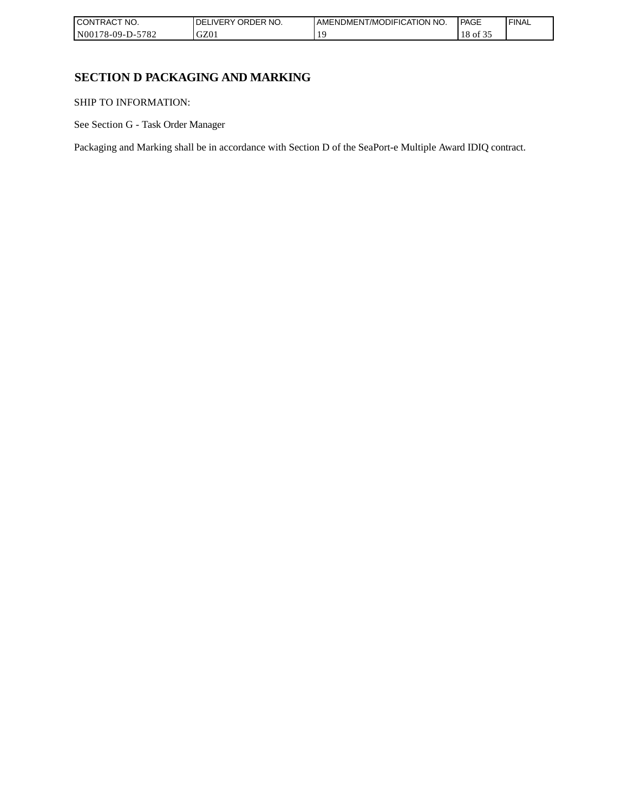| <b>CONT</b><br>TRACT NO.                | NO.<br><b>ORDER</b><br>IVERY<br>DEI | AMENDMENT/MODIFICATION NO. | <b>PAGE</b> | ' FINAL |
|-----------------------------------------|-------------------------------------|----------------------------|-------------|---------|
| N0017 <sup>c</sup><br>5782<br>78-09-D-: | GZ0                                 |                            | 18<br>` Oİ  |         |

# **SECTION D PACKAGING AND MARKING**

SHIP TO INFORMATION:

See Section G - Task Order Manager

Packaging and Marking shall be in accordance with Section D of the SeaPort-e Multiple Award IDIQ contract.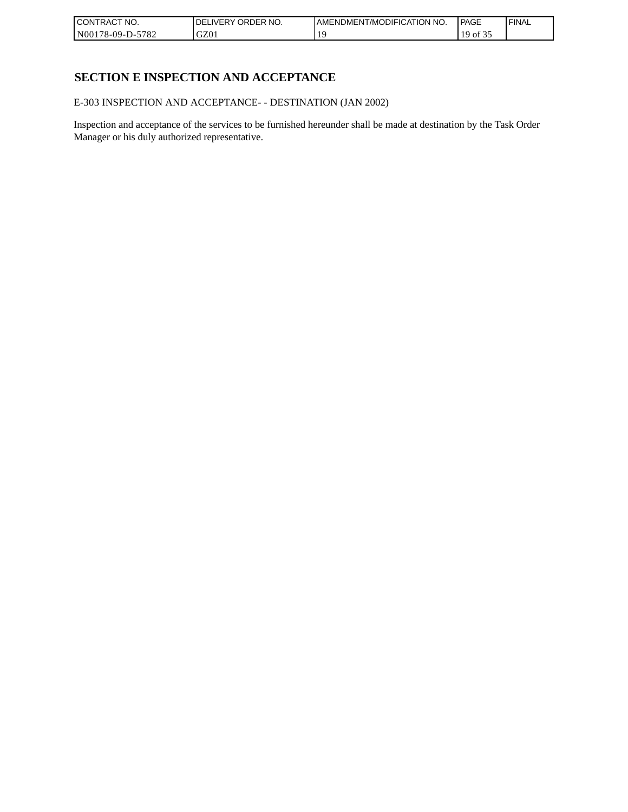| <b>CONTRACT NO.</b>      | `NO.<br>' ORDER<br><b>DELIVERY</b> | I AMENDMENT/MODIFICATION NO. | l PAGE | 'FINAL |
|--------------------------|------------------------------------|------------------------------|--------|--------|
| $-5782$<br>N00178-09-D-5 | GZ01                               |                              | of 32  |        |

# **SECTION E INSPECTION AND ACCEPTANCE**

E-303 INSPECTION AND ACCEPTANCE- - DESTINATION (JAN 2002)

Inspection and acceptance of the services to be furnished hereunder shall be made at destination by the Task Order Manager or his duly authorized representative.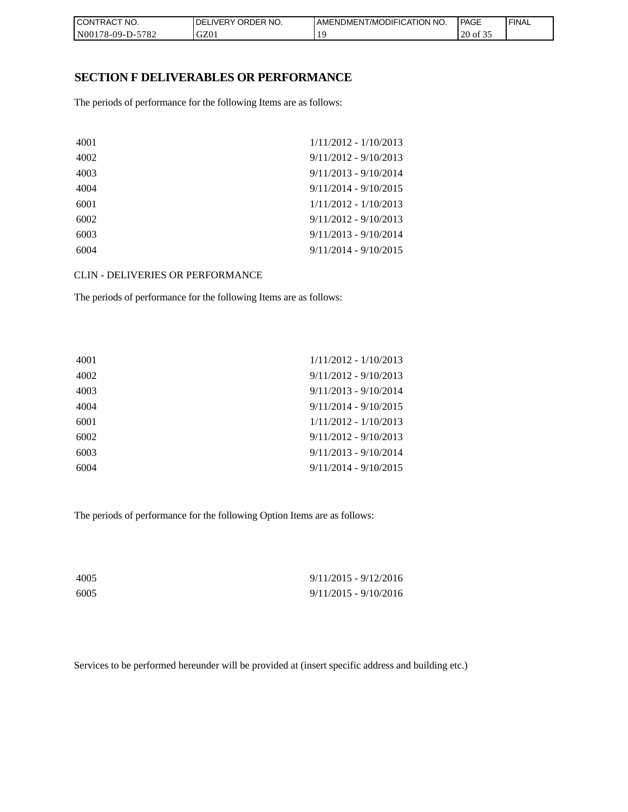| CON <sub>1</sub><br>'TRACT NO. | NO.<br><b>DELIVERY ORDER</b> | <b>I AMENDMENT/MODIFICATION NO.</b> | <b>PAGE</b> | ' FINAL |
|--------------------------------|------------------------------|-------------------------------------|-------------|---------|
| N00178-09-D-5782               | GZ01                         |                                     | 20 of 35    |         |

### **SECTION F DELIVERABLES OR PERFORMANCE**

The periods of performance for the following Items are as follows:

| $1/11/2012 - 1/10/2013$ |
|-------------------------|
| $9/11/2012 - 9/10/2013$ |
| $9/11/2013 - 9/10/2014$ |
| $9/11/2014 - 9/10/2015$ |
| $1/11/2012 - 1/10/2013$ |
| $9/11/2012 - 9/10/2013$ |
| $9/11/2013 - 9/10/2014$ |
| $9/11/2014 - 9/10/2015$ |
|                         |

CLIN - DELIVERIES OR PERFORMANCE

The periods of performance for the following Items are as follows:

| $1/11/2012 - 1/10/2013$ |
|-------------------------|
| $9/11/2012 - 9/10/2013$ |
| $9/11/2013 - 9/10/2014$ |
| $9/11/2014 - 9/10/2015$ |
| $1/11/2012 - 1/10/2013$ |
| $9/11/2012 - 9/10/2013$ |
| $9/11/2013 - 9/10/2014$ |
| $9/11/2014 - 9/10/2015$ |
|                         |

The periods of performance for the following Option Items are as follows:

| 4005 | $9/11/2015 - 9/12/2016$ |
|------|-------------------------|
| 6005 | $9/11/2015 - 9/10/2016$ |

Services to be performed hereunder will be provided at (insert specific address and building etc.)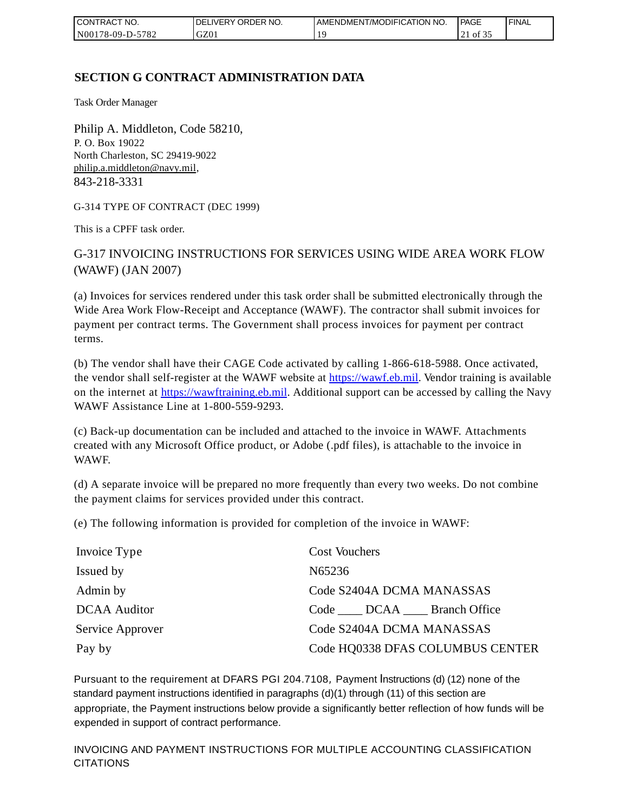| CONTRACT<br>`CT NO. | `NO.<br><b>DELIVERY ORDER</b> | AMENDMENT/MODIFICATION NO. | <b>PAGE</b>               | ' FINAL |
|---------------------|-------------------------------|----------------------------|---------------------------|---------|
| N00178-09-D-5782    | GZ01                          |                            | $\cdot$ of 3.<br>$\sim$ 1 |         |

# **SECTION G CONTRACT ADMINISTRATION DATA**

Task Order Manager

Philip A. Middleton, Code 58210, P. O. Box 19022 North Charleston, SC 29419-9022 [philip.a.middleton@navy.mil,](mailto:cphilip.a.middleton@navy.mil) 843-218-3331

G-314 TYPE OF CONTRACT (DEC 1999)

This is a CPFF task order.

G-317 INVOICING INSTRUCTIONS FOR SERVICES USING WIDE AREA WORK FLOW (WAWF) (JAN 2007)

(a) Invoices for services rendered under this task order shall be submitted electronically through the Wide Area Work Flow-Receipt and Acceptance (WAWF). The contractor shall submit invoices for payment per contract terms. The Government shall process invoices for payment per contract terms.

(b) The vendor shall have their CAGE Code activated by calling 1-866-618-5988. Once activated, the vendor shall self-register at the WAWF website at [https://wawf.eb.mil.](https://wawf.eb.mil/) Vendor training is available on the internet at [https://wawftraining.eb.mil.](https://wawftraining.eb.mil/) Additional support can be accessed by calling the Navy WAWF Assistance Line at 1-800-559-9293.

(c) Back-up documentation can be included and attached to the invoice in WAWF. Attachments created with any Microsoft Office product, or Adobe (.pdf files), is attachable to the invoice in WAWF.

(d) A separate invoice will be prepared no more frequently than every two weeks. Do not combine the payment claims for services provided under this contract.

(e) The following information is provided for completion of the invoice in WAWF:

| Invoice Type        | <b>Cost Vouchers</b>             |
|---------------------|----------------------------------|
| Issued by           | N65236                           |
| Admin by            | Code S2404A DCMA MANASSAS        |
| <b>DCAA</b> Auditor | Code DCAA Branch Office          |
| Service Approver    | Code S2404A DCMA MANASSAS        |
| Pay by              | Code HQ0338 DFAS COLUMBUS CENTER |

Pursuant to the requirement at DFARS PGI 204.7108, Payment Instructions (d) (12) none of the standard payment instructions identified in paragraphs (d)(1) through (11) of this section are appropriate, the Payment instructions below provide a significantly better reflection of how funds will be expended in support of contract performance.

INVOICING AND PAYMENT INSTRUCTIONS FOR MULTIPLE ACCOUNTING CLASSIFICATION CITATIONS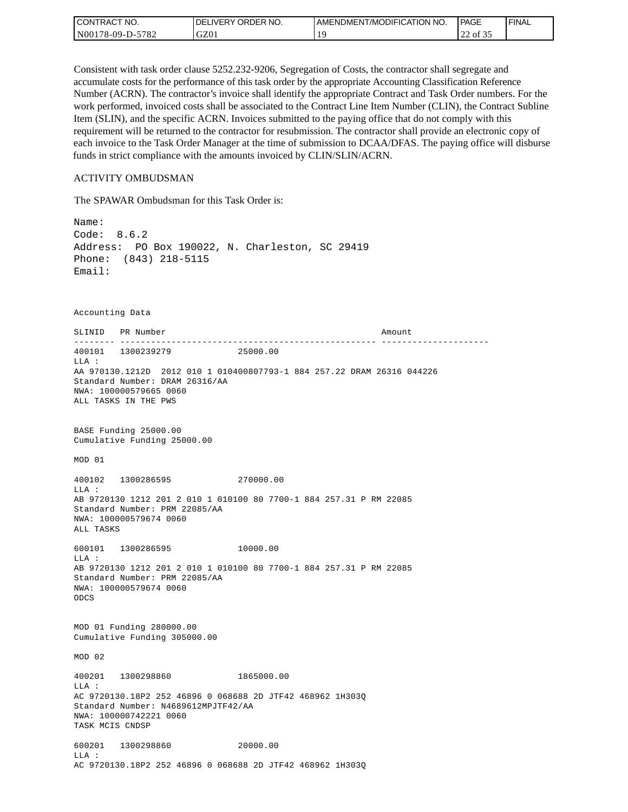| CONTRACT NO.     | <b>IDELIVERY ORDER NO.</b> | AMENDMENT/MODIFICATION NO. | PAGE                  | 'FINAL |
|------------------|----------------------------|----------------------------|-----------------------|--------|
| N00178-09-D-5782 | GZ01                       |                            | $\sim$<br>of 35<br>∠∠ |        |

Consistent with task order clause 5252.232-9206, Segregation of Costs, the contractor shall segregate and accumulate costs for the performance of this task order by the appropriate Accounting Classification Reference Number (ACRN). The contractor's invoice shall identify the appropriate Contract and Task Order numbers. For the work performed, invoiced costs shall be associated to the Contract Line Item Number (CLIN), the Contract Subline Item (SLIN), and the specific ACRN. Invoices submitted to the paying office that do not comply with this requirement will be returned to the contractor for resubmission. The contractor shall provide an electronic copy of each invoice to the Task Order Manager at the time of submission to DCAA/DFAS. The paying office will disburse funds in strict compliance with the amounts invoiced by CLIN/SLIN/ACRN.

#### ACTIVITY OMBUDSMAN

The SPAWAR Ombudsman for this Task Order is:

Name: Code: 8.6.2 Address: PO Box 190022, N. Charleston, SC 29419 Phone: (843) 218-5115 Email: Accounting Data SLINID PR Number **Amount** -------- -------------------------------------------------- --------------------- 400101 1300239279 25000.00 LLA : AA 970130.1212D 2012 010 1 010400807793-1 884 257.22 DRAM 26316 044226 Standard Number: DRAM 26316/AA NWA: 100000579665 0060 ALL TASKS IN THE PWS BASE Funding 25000.00 Cumulative Funding 25000.00 MOD 01 400102 1300286595 270000.00 LLA : AB 9720130 1212 201 2 010 1 010100 80 7700-1 884 257.31 P RM 22085 Standard Number: PRM 22085/AA NWA: 100000579674 0060 ALL TASKS 600101 1300286595 10000.00 LLA : AB 9720130 1212 201 2 010 1 010100 80 7700-1 884 257.31 P RM 22085 Standard Number: PRM 22085/AA NWA: 100000579674 0060 ODCS MOD 01 Funding 280000.00 Cumulative Funding 305000.00 MOD 02 400201 1300298860 1865000.00  $T.T.A$  : AC 9720130.18P2 252 46896 0 068688 2D JTF42 468962 1H303Q Standard Number: N4689612MPJTF42/AA NWA: 100000742221 0060 TASK MCIS CNDSP 600201 1300298860 20000.00 LLA : AC 9720130.18P2 252 46896 0 068688 2D JTF42 468962 1H303Q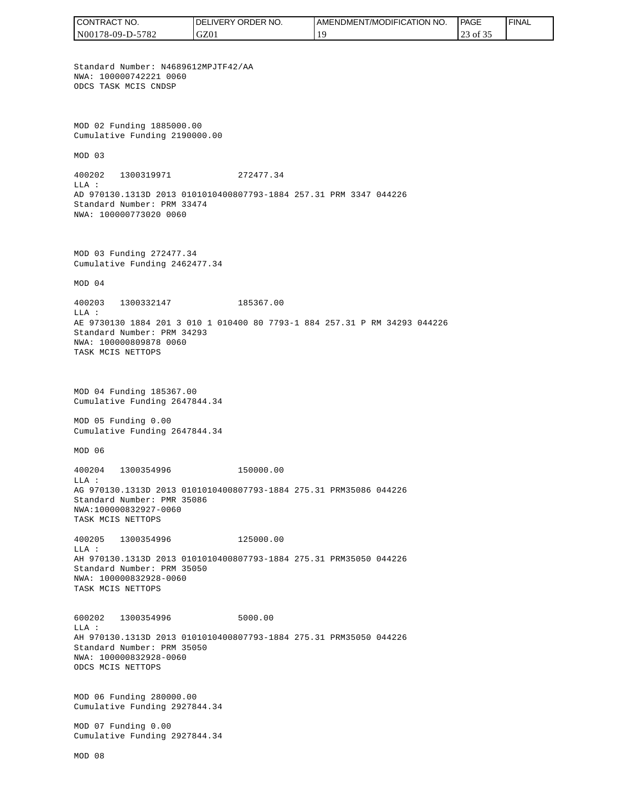CONTRACT NO. DELIVERY ORDER NO. AMENDMENT/MODIFICATION NO. **PAGE**  FINALCONTRACT NO.<br>NO0178-09-D-5<br>Standard Numb<br>NMA: 10000074<br>ODCS TASK MCI<br>ODCS TASK MCI<br>NMA: 10000074<br>ODCS TASK MCI<br>Cumulative Fu<br>MOD 03<br>400202 1300<br>LLA:<br>AD 970130.131<br>Standard Numb<br>NMA: 10000080<br>TASK MCIS NET<br>NMA: 1000080<br>TASK N00178-09-D-5782 GZ01 19 23 of 35 Standard Number: N4689612MPJTF42/AA NWA: 100000742221 0060 ODCS TASK MCIS CNDSP MOD 02 Funding 1885000.00 Cumulative Funding 2190000.00 MOD 03 400202 1300319971 272477.34  $T.T.A$  : AD 970130.1313D 2013 0101010400807793-1884 257.31 PRM 3347 044226 Standard Number: PRM 33474 NWA: 100000773020 0060 MOD 03 Funding 272477.34 Cumulative Funding 2462477.34 MOD 04 400203 1300332147 185367.00 LLA : AE 9730130 1884 201 3 010 1 010400 80 7793-1 884 257.31 P RM 34293 044226 Standard Number: PRM 34293 NWA: 100000809878 0060 TASK MCIS NETTOPS MOD 04 Funding 185367.00 Cumulative Funding 2647844.34 MOD 05 Funding 0.00 Cumulative Funding 2647844.34 MOD 06 400204 1300354996 150000.00  $T.T.A$  : AG 970130.1313D 2013 0101010400807793-1884 275.31 PRM35086 044226 Standard Number: PMR 35086 NWA:100000832927-0060 TASK MCIS NETTOPS 400205 1300354996 125000.00 LLA : AH 970130.1313D 2013 0101010400807793-1884 275.31 PRM35050 044226 Standard Number: PRM 35050 NWA: 100000832928-0060 TASK MCIS NETTOPS 600202 1300354996 5000.00 LLA : AH 970130.1313D 2013 0101010400807793-1884 275.31 PRM35050 044226 Standard Number: PRM 35050 NWA: 100000832928-0060 ODCS MCIS NETTOPS MOD 06 Funding 280000.00 Cumulative Funding 2927844.34 MOD 07 Funding 0.00 Cumulative Funding 2927844.34 MOD 08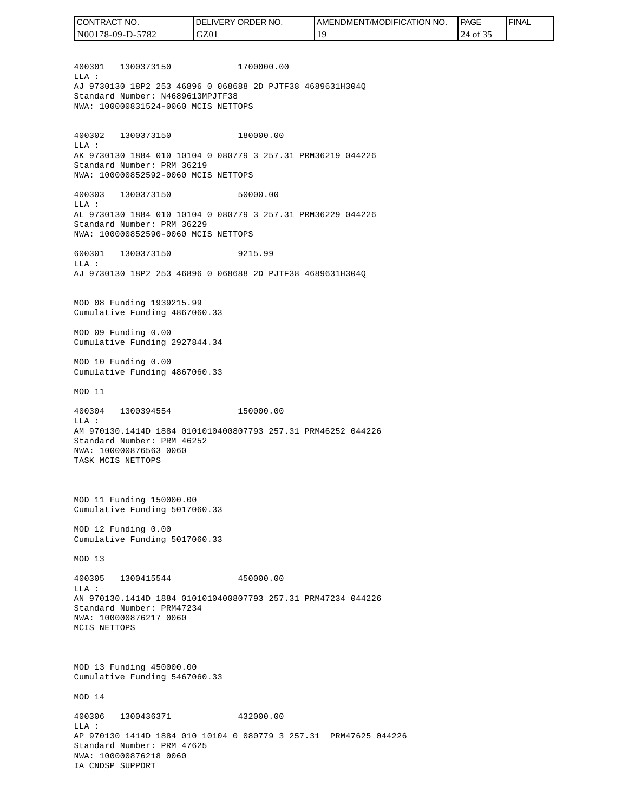400301 1300373150 1700000.00  $T.T.A$  : AJ 9730130 18P2 253 46896 0 068688 2D PJTF38 4689631H304Q Standard Number: N4689613MPJTF38 NWA: 100000831524-0060 MCIS NETTOPS 400302 1300373150 180000.00 LLA : AK 9730130 1884 010 10104 0 080779 3 257.31 PRM36219 044226 Standard Number: PRM 36219 NWA: 100000852592-0060 MCIS NETTOPS 400303 1300373150 50000.00 LLA : AL 9730130 1884 010 10104 0 080779 3 257.31 PRM36229 044226 Standard Number: PRM 36229 NWA: 100000852590-0060 MCIS NETTOPS 600301 1300373150 9215.99  $T.T.A$  : AJ 9730130 18P2 253 46896 0 068688 2D PJTF38 4689631H304Q MOD 08 Funding 1939215.99 Cumulative Funding 4867060.33 MOD 09 Funding 0.00 Cumulative Funding 2927844.34 MOD 10 Funding 0.00 Cumulative Funding 4867060.33 MOD 11 400304 1300394554 150000.00 LLA : AM 970130.1414D 1884 0101010400807793 257.31 PRM46252 044226 Standard Number: PRM 46252 NWA: 100000876563 0060 TASK MCIS NETTOPS MOD 11 Funding 150000.00 Cumulative Funding 5017060.33 MOD 12 Funding 0.00 Cumulative Funding 5017060.33 MOD 13 400305 1300415544 450000.00  $T.T.A$  : AN 970130.1414D 1884 0101010400807793 257.31 PRM47234 044226 Standard Number: PRM47234 NWA: 100000876217 0060 MCIS NETTOPS MOD 13 Funding 450000.00 Cumulative Funding 5467060.33 MOD 14 400306 1300436371 432000.00  $L.L.A$  : AP 970130 1414D 1884 010 10104 0 080779 3 257.31 PRM47625 044226 Standard Number: PRM 47625 NWA: 100000876218 0060 IA CNDSP SUPPORT CONTRACT NO. N00178-09-D-5782 DELIVERY ORDER NO. GZ01 AMENDMENT/MODIFICATION NO. 19 **PAGE**  24 of 35 FINAL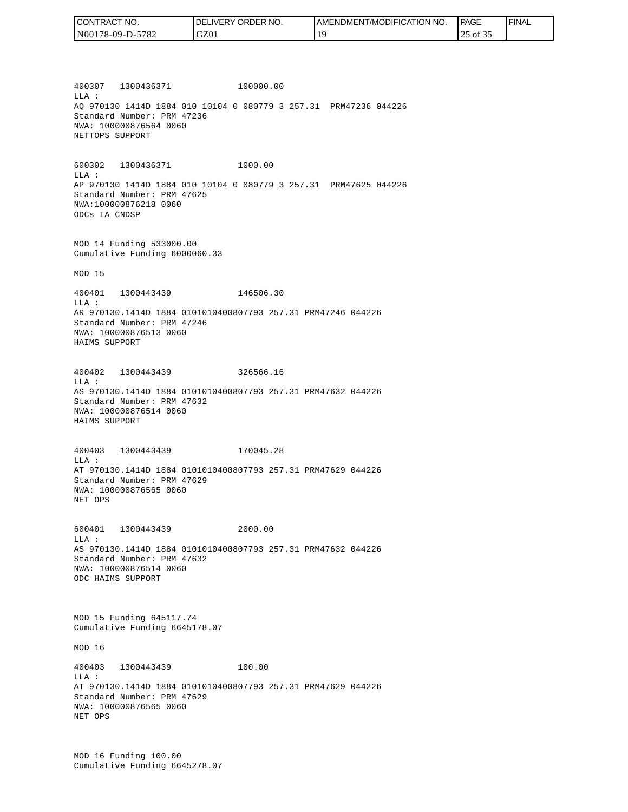| CONTRACT NO.     | <b>IDELIVERY ORDER NO.</b> | I AMENDMENT/MODIFICATION NO. | PAGE        | ' FINAL |
|------------------|----------------------------|------------------------------|-------------|---------|
| N00178-09-D-5782 | GZ01                       |                              | of 35<br>ر_ |         |

400307 1300436371 100000.00 LLA : AQ 970130 1414D 1884 010 10104 0 080779 3 257.31 PRM47236 044226 Standard Number: PRM 47236 NWA: 100000876564 0060 NETTOPS SUPPORT

600302 1300436371 1000.00 LLA : AP 970130 1414D 1884 010 10104 0 080779 3 257.31 PRM47625 044226 Standard Number: PRM 47625 NWA:100000876218 0060 ODCs IA CNDSP

MOD 14 Funding 533000.00 Cumulative Funding 6000060.33

MOD 15

400401 1300443439 146506.30 LLA : AR 970130.1414D 1884 0101010400807793 257.31 PRM47246 044226 Standard Number: PRM 47246 NWA: 100000876513 0060 HAIMS SUPPORT

400402 1300443439 326566.16 LLA : AS 970130.1414D 1884 0101010400807793 257.31 PRM47632 044226 Standard Number: PRM 47632 NWA: 100000876514 0060 HAIMS SUPPORT

400403 1300443439 170045.28 LLA : AT 970130.1414D 1884 0101010400807793 257.31 PRM47629 044226 Standard Number: PRM 47629 NWA: 100000876565 0060 NET OPS

600401 1300443439 2000.00  $L.L.A$  : AS 970130.1414D 1884 0101010400807793 257.31 PRM47632 044226 Standard Number: PRM 47632 NWA: 100000876514 0060 ODC HAIMS SUPPORT

MOD 15 Funding 645117.74 Cumulative Funding 6645178.07

MOD 16

400403 1300443439 100.00 LLA : AT 970130.1414D 1884 0101010400807793 257.31 PRM47629 044226 Standard Number: PRM 47629 NWA: 100000876565 0060 NET OPS

MOD 16 Funding 100.00 Cumulative Funding 6645278.07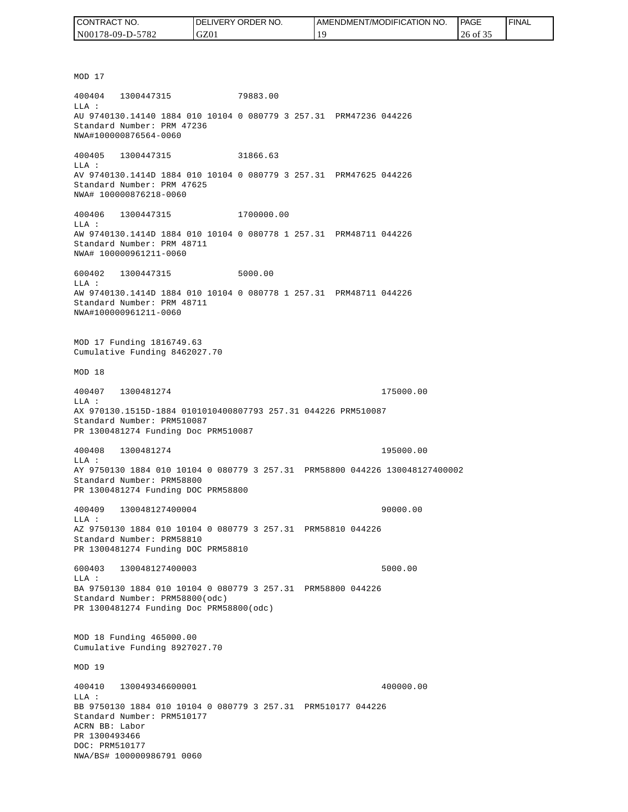| CONTRACT NO.             | NO.<br>' ORDER<br><b>DELIVERY</b> | 'NO.<br>AMENDMENT/MODIFICATION | <b>PAGE</b> | 'FINAL |
|--------------------------|-----------------------------------|--------------------------------|-------------|--------|
| -5782<br>$N00178-09-D-5$ | GZ01                              |                                | 26 of 35    |        |

MOD 17 400404 1300447315 79883.00 LLA : AU 9740130.14140 1884 010 10104 0 080779 3 257.31 PRM47236 044226 Standard Number: PRM 47236 NWA#100000876564-0060 400405 1300447315 31866.63 LLA : AV 9740130.1414D 1884 010 10104 0 080779 3 257.31 PRM47625 044226 Standard Number: PRM 47625 NWA# 100000876218-0060 400406 1300447315 1700000.00 LLA : AW 9740130.1414D 1884 010 10104 0 080778 1 257.31 PRM48711 044226 Standard Number: PRM 48711 NWA# 100000961211-0060 600402 1300447315 5000.00 LLA : AW 9740130.1414D 1884 010 10104 0 080778 1 257.31 PRM48711 044226 Standard Number: PRM 48711 NWA#100000961211-0060 MOD 17 Funding 1816749.63 Cumulative Funding 8462027.70 MOD 18 400407 1300481274 175000.00 LLA : AX 970130.1515D-1884 0101010400807793 257.31 044226 PRM510087 Standard Number: PRM510087 PR 1300481274 Funding Doc PRM510087 400408 1300481274 195000.00 LLA : AY 9750130 1884 010 10104 0 080779 3 257.31 PRM58800 044226 130048127400002 Standard Number: PRM58800 PR 1300481274 Funding DOC PRM58800 400409 130048127400004 90000.00 LLA : AZ 9750130 1884 010 10104 0 080779 3 257.31 PRM58810 044226 Standard Number: PRM58810 PR 1300481274 Funding DOC PRM58810 600403 130048127400003 5000.00  $L.L.A$  : BA 9750130 1884 010 10104 0 080779 3 257.31 PRM58800 044226 Standard Number: PRM58800(odc) PR 1300481274 Funding Doc PRM58800(odc) MOD 18 Funding 465000.00 Cumulative Funding 8927027.70 MOD 19 400410 130049346600001 400000.00 LLA : BB 9750130 1884 010 10104 0 080779 3 257.31 PRM510177 044226 Standard Number: PRM510177 ACRN BB: Labor PR 1300493466 DOC: PRM510177<br>NWA/BS# 100000986791 0060 (CONTRACT NO. 1986)<br>
NO0178-09-D-5782<br>
NO0178-09-D-5782<br>
MDB10<br>
NOD 17<br>
400404 1300447315<br>
NAJ 9740130.14140 1884 010<br>
Standard Number: PRM 47236<br>
NWA#100000876564-0060<br>
10405 1300447315<br>
Standard Number: PRM 47625<br>
NAJ 97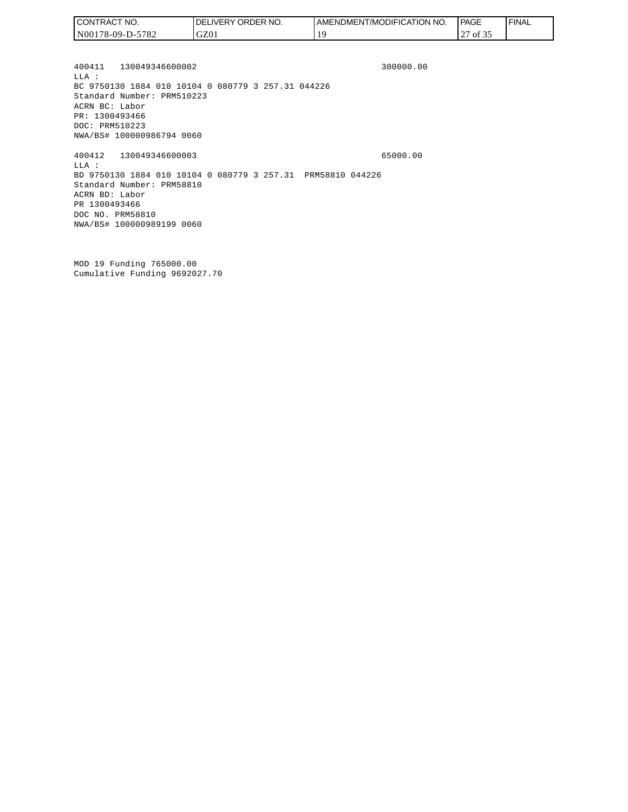| CONTRACT NO.     | <b>IDELIVERY ORDER NO.</b> | <b>I AMENDMENT/MODIFICATION</b><br>' NO. | <b>PAGE</b>                   | <b>I FINAL</b> |
|------------------|----------------------------|------------------------------------------|-------------------------------|----------------|
| N00178-09-D-5782 | GZ01                       |                                          | $\sim$ $\sim$ $\sim$<br>of 32 |                |

400411 130049346600002 300000.00 LLA : BC 9750130 1884 010 10104 0 080779 3 257.31 044226 Standard Number: PRM510223 ACRN BC: Labor PR: 1300493466 DOC: PRM510223 NWA/BS# 100000986794 0060 400412 130049346600003 65000.00 LLA :

BD 9750130 1884 010 10104 0 080779 3 257.31 PRM58810 044226 Standard Number: PRM58810 ACRN BD: Labor PR 1300493466 DOC NO. PRM58810 NWA/BS# 100000989199 0060

MOD 19 Funding 765000.00 Cumulative Funding 9692027.70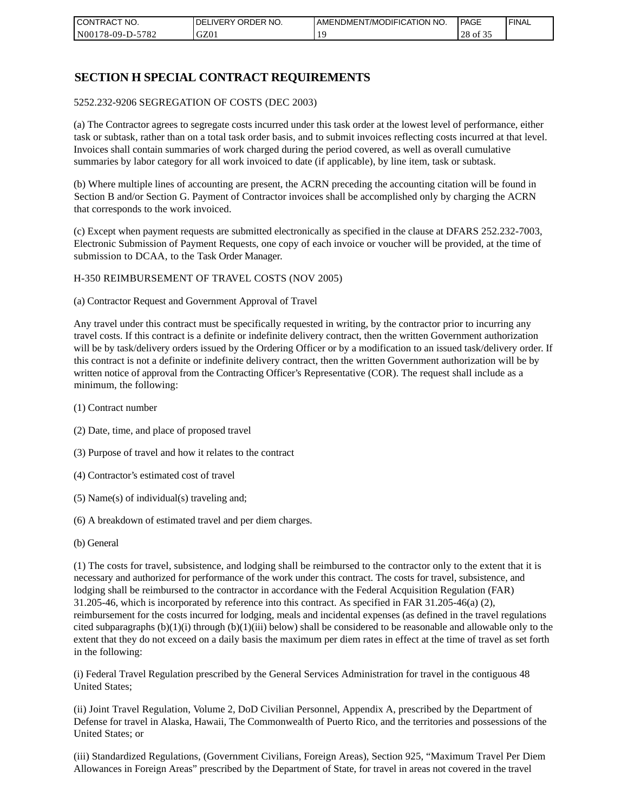| I CONTRACT NO.   | NO.<br>DELIVERY ORDER | AMENDMENT/MODIFICATION NO. | PAGE              | ' FINAL |
|------------------|-----------------------|----------------------------|-------------------|---------|
| N00178-09-D-5782 | GZ01                  |                            | 28<br>` Oİ<br>. ٻ |         |

### **SECTION H SPECIAL CONTRACT REQUIREMENTS**

#### 5252.232-9206 SEGREGATION OF COSTS (DEC 2003)

(a) The Contractor agrees to segregate costs incurred under this task order at the lowest level of performance, either task or subtask, rather than on a total task order basis, and to submit invoices reflecting costs incurred at that level. Invoices shall contain summaries of work charged during the period covered, as well as overall cumulative summaries by labor category for all work invoiced to date (if applicable), by line item, task or subtask.

(b) Where multiple lines of accounting are present, the ACRN preceding the accounting citation will be found in Section B and/or Section G. Payment of Contractor invoices shall be accomplished only by charging the ACRN that corresponds to the work invoiced.

(c) Except when payment requests are submitted electronically as specified in the clause at DFARS 252.232-7003, Electronic Submission of Payment Requests, one copy of each invoice or voucher will be provided, at the time of submission to DCAA, to the Task Order Manager.

#### H-350 REIMBURSEMENT OF TRAVEL COSTS (NOV 2005)

(a) Contractor Request and Government Approval of Travel

Any travel under this contract must be specifically requested in writing, by the contractor prior to incurring any travel costs. If this contract is a definite or indefinite delivery contract, then the written Government authorization will be by task/delivery orders issued by the Ordering Officer or by a modification to an issued task/delivery order. If this contract is not a definite or indefinite delivery contract, then the written Government authorization will be by written notice of approval from the Contracting Officer's Representative (COR). The request shall include as a minimum, the following:

- (1) Contract number
- (2) Date, time, and place of proposed travel
- (3) Purpose of travel and how it relates to the contract
- (4) Contractor's estimated cost of travel
- (5) Name(s) of individual(s) traveling and;
- (6) A breakdown of estimated travel and per diem charges.
- (b) General

(1) The costs for travel, subsistence, and lodging shall be reimbursed to the contractor only to the extent that it is necessary and authorized for performance of the work under this contract. The costs for travel, subsistence, and lodging shall be reimbursed to the contractor in accordance with the Federal Acquisition Regulation (FAR) 31.205-46, which is incorporated by reference into this contract. As specified in FAR 31.205-46(a) (2), reimbursement for the costs incurred for lodging, meals and incidental expenses (as defined in the travel regulations cited subparagraphs  $(b)(1)(i)$  through  $(b)(1)(iii)$  below) shall be considered to be reasonable and allowable only to the extent that they do not exceed on a daily basis the maximum per diem rates in effect at the time of travel as set forth in the following:

(i) Federal Travel Regulation prescribed by the General Services Administration for travel in the contiguous 48 United States;

(ii) Joint Travel Regulation, Volume 2, DoD Civilian Personnel, Appendix A, prescribed by the Department of Defense for travel in Alaska, Hawaii, The Commonwealth of Puerto Rico, and the territories and possessions of the United States; or

(iii) Standardized Regulations, (Government Civilians, Foreign Areas), Section 925, "Maximum Travel Per Diem Allowances in Foreign Areas" prescribed by the Department of State, for travel in areas not covered in the travel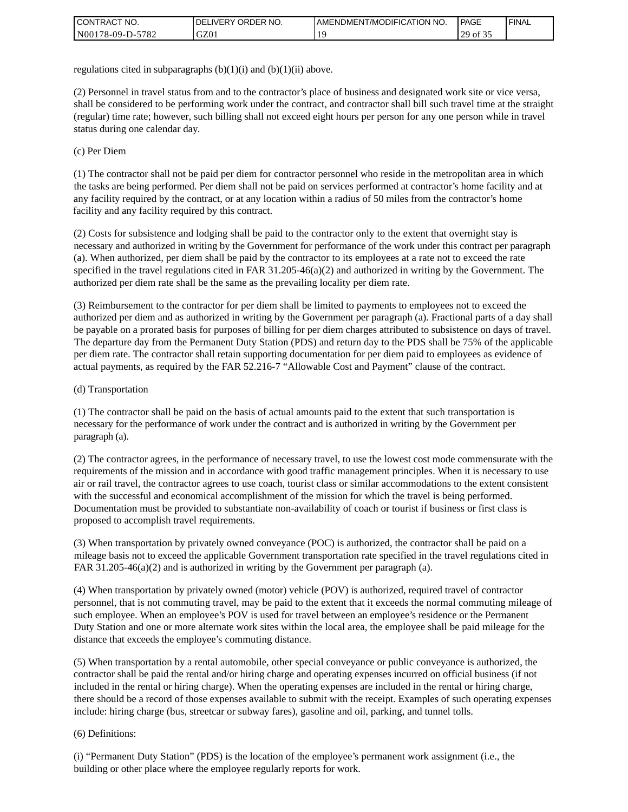| I CONTRACT NO.   | ' ORDER NO.<br><b>DELIVERY</b> | I AMENDMENT/MODIFICATION NO. | <b>PAGE</b>  | <b>I FINAL</b> |
|------------------|--------------------------------|------------------------------|--------------|----------------|
| N00178-09-D-5782 | GZ01                           |                              | ንባ<br>-01.35 |                |

regulations cited in subparagraphs  $(b)(1)(i)$  and  $(b)(1)(ii)$  above.

(2) Personnel in travel status from and to the contractor's place of business and designated work site or vice versa, shall be considered to be performing work under the contract, and contractor shall bill such travel time at the straight (regular) time rate; however, such billing shall not exceed eight hours per person for any one person while in travel status during one calendar day.

(c) Per Diem

(1) The contractor shall not be paid per diem for contractor personnel who reside in the metropolitan area in which the tasks are being performed. Per diem shall not be paid on services performed at contractor's home facility and at any facility required by the contract, or at any location within a radius of 50 miles from the contractor's home facility and any facility required by this contract.

(2) Costs for subsistence and lodging shall be paid to the contractor only to the extent that overnight stay is necessary and authorized in writing by the Government for performance of the work under this contract per paragraph (a). When authorized, per diem shall be paid by the contractor to its employees at a rate not to exceed the rate specified in the travel regulations cited in FAR 31.205-46(a)(2) and authorized in writing by the Government. The authorized per diem rate shall be the same as the prevailing locality per diem rate.

(3) Reimbursement to the contractor for per diem shall be limited to payments to employees not to exceed the authorized per diem and as authorized in writing by the Government per paragraph (a). Fractional parts of a day shall be payable on a prorated basis for purposes of billing for per diem charges attributed to subsistence on days of travel. The departure day from the Permanent Duty Station (PDS) and return day to the PDS shall be 75% of the applicable per diem rate. The contractor shall retain supporting documentation for per diem paid to employees as evidence of actual payments, as required by the FAR 52.216-7 "Allowable Cost and Payment" clause of the contract.

#### (d) Transportation

(1) The contractor shall be paid on the basis of actual amounts paid to the extent that such transportation is necessary for the performance of work under the contract and is authorized in writing by the Government per paragraph (a).

(2) The contractor agrees, in the performance of necessary travel, to use the lowest cost mode commensurate with the requirements of the mission and in accordance with good traffic management principles. When it is necessary to use air or rail travel, the contractor agrees to use coach, tourist class or similar accommodations to the extent consistent with the successful and economical accomplishment of the mission for which the travel is being performed. Documentation must be provided to substantiate non-availability of coach or tourist if business or first class is proposed to accomplish travel requirements.

(3) When transportation by privately owned conveyance (POC) is authorized, the contractor shall be paid on a mileage basis not to exceed the applicable Government transportation rate specified in the travel regulations cited in FAR 31.205-46(a)(2) and is authorized in writing by the Government per paragraph (a).

(4) When transportation by privately owned (motor) vehicle (POV) is authorized, required travel of contractor personnel, that is not commuting travel, may be paid to the extent that it exceeds the normal commuting mileage of such employee. When an employee's POV is used for travel between an employee's residence or the Permanent Duty Station and one or more alternate work sites within the local area, the employee shall be paid mileage for the distance that exceeds the employee's commuting distance.

(5) When transportation by a rental automobile, other special conveyance or public conveyance is authorized, the contractor shall be paid the rental and/or hiring charge and operating expenses incurred on official business (if not included in the rental or hiring charge). When the operating expenses are included in the rental or hiring charge, there should be a record of those expenses available to submit with the receipt. Examples of such operating expenses include: hiring charge (bus, streetcar or subway fares), gasoline and oil, parking, and tunnel tolls.

#### (6) Definitions:

(i) "Permanent Duty Station" (PDS) is the location of the employee's permanent work assignment (i.e., the building or other place where the employee regularly reports for work.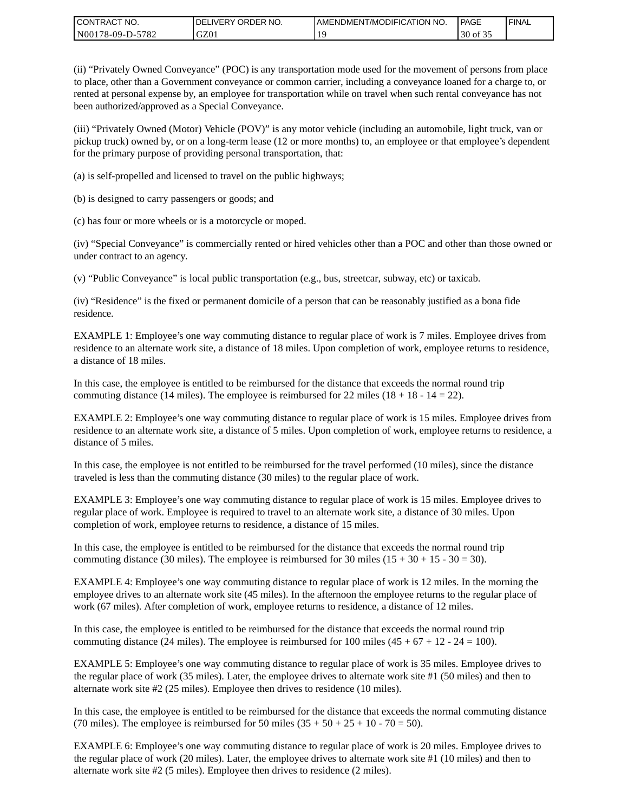| CONTRACT<br>CT NO.                                    | NO.<br>' ORDER<br><b>DELIVERY</b> | AMENDMENT/MODIFICATION NO. | l PAGE | ' FINAL |
|-------------------------------------------------------|-----------------------------------|----------------------------|--------|---------|
| N <sub>001</sub><br>$-5782$<br>*78-09-D- <sub>~</sub> | GZ01                              |                            | of 35  |         |

(ii) "Privately Owned Conveyance" (POC) is any transportation mode used for the movement of persons from place to place, other than a Government conveyance or common carrier, including a conveyance loaned for a charge to, or rented at personal expense by, an employee for transportation while on travel when such rental conveyance has not been authorized/approved as a Special Conveyance.

(iii) "Privately Owned (Motor) Vehicle (POV)" is any motor vehicle (including an automobile, light truck, van or pickup truck) owned by, or on a long-term lease (12 or more months) to, an employee or that employee's dependent for the primary purpose of providing personal transportation, that:

(a) is self-propelled and licensed to travel on the public highways;

(b) is designed to carry passengers or goods; and

(c) has four or more wheels or is a motorcycle or moped.

(iv) "Special Conveyance" is commercially rented or hired vehicles other than a POC and other than those owned or under contract to an agency.

(v) "Public Conveyance" is local public transportation (e.g., bus, streetcar, subway, etc) or taxicab.

(iv) "Residence" is the fixed or permanent domicile of a person that can be reasonably justified as a bona fide residence.

EXAMPLE 1: Employee's one way commuting distance to regular place of work is 7 miles. Employee drives from residence to an alternate work site, a distance of 18 miles. Upon completion of work, employee returns to residence, a distance of 18 miles.

In this case, the employee is entitled to be reimbursed for the distance that exceeds the normal round trip commuting distance (14 miles). The employee is reimbursed for 22 miles (18 + 18 - 14 = 22).

EXAMPLE 2: Employee's one way commuting distance to regular place of work is 15 miles. Employee drives from residence to an alternate work site, a distance of 5 miles. Upon completion of work, employee returns to residence, a distance of 5 miles.

In this case, the employee is not entitled to be reimbursed for the travel performed (10 miles), since the distance traveled is less than the commuting distance (30 miles) to the regular place of work.

EXAMPLE 3: Employee's one way commuting distance to regular place of work is 15 miles. Employee drives to regular place of work. Employee is required to travel to an alternate work site, a distance of 30 miles. Upon completion of work, employee returns to residence, a distance of 15 miles.

In this case, the employee is entitled to be reimbursed for the distance that exceeds the normal round trip commuting distance (30 miles). The employee is reimbursed for 30 miles  $(15 + 30 + 15 - 30 = 30)$ .

EXAMPLE 4: Employee's one way commuting distance to regular place of work is 12 miles. In the morning the employee drives to an alternate work site (45 miles). In the afternoon the employee returns to the regular place of work (67 miles). After completion of work, employee returns to residence, a distance of 12 miles.

In this case, the employee is entitled to be reimbursed for the distance that exceeds the normal round trip commuting distance (24 miles). The employee is reimbursed for 100 miles  $(45 + 67 + 12 - 24 = 100)$ .

EXAMPLE 5: Employee's one way commuting distance to regular place of work is 35 miles. Employee drives to the regular place of work (35 miles). Later, the employee drives to alternate work site #1 (50 miles) and then to alternate work site #2 (25 miles). Employee then drives to residence (10 miles).

In this case, the employee is entitled to be reimbursed for the distance that exceeds the normal commuting distance (70 miles). The employee is reimbursed for 50 miles  $(35 + 50 + 25 + 10 - 70 = 50)$ .

EXAMPLE 6: Employee's one way commuting distance to regular place of work is 20 miles. Employee drives to the regular place of work (20 miles). Later, the employee drives to alternate work site #1 (10 miles) and then to alternate work site #2 (5 miles). Employee then drives to residence (2 miles).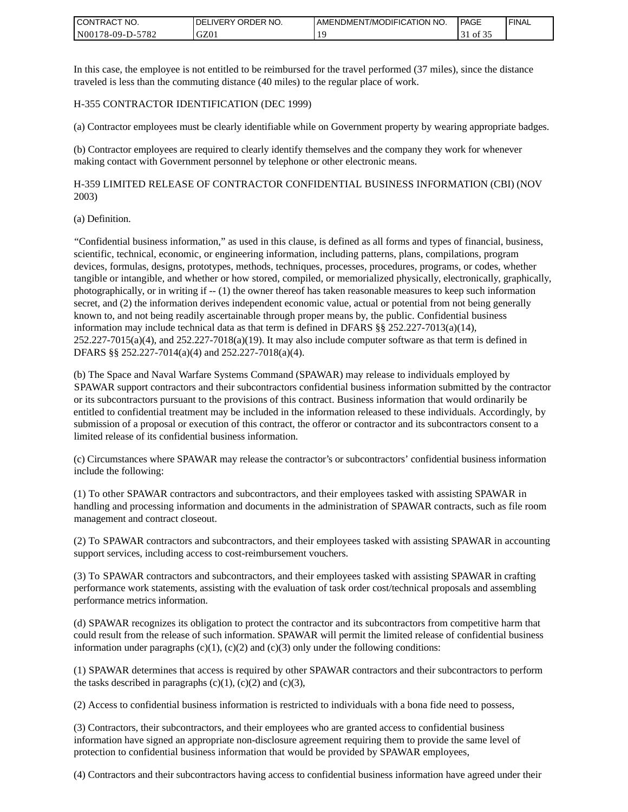| <b>I CONTRACT NO.</b> | ' ORDER NO.<br><b>DELIVERY</b> | I AMENDMENT/MODIFICATION NO. | PAGE  | ' FINAL |
|-----------------------|--------------------------------|------------------------------|-------|---------|
| N00178-09-D-5782      | GZ0 <sub>1</sub>               |                              | of 32 |         |

In this case, the employee is not entitled to be reimbursed for the travel performed (37 miles), since the distance traveled is less than the commuting distance (40 miles) to the regular place of work.

#### H-355 CONTRACTOR IDENTIFICATION (DEC 1999)

(a) Contractor employees must be clearly identifiable while on Government property by wearing appropriate badges.

(b) Contractor employees are required to clearly identify themselves and the company they work for whenever making contact with Government personnel by telephone or other electronic means.

H-359 LIMITED RELEASE OF CONTRACTOR CONFIDENTIAL BUSINESS INFORMATION (CBI) (NOV 2003)

#### (a) Definition.

"Confidential business information," as used in this clause, is defined as all forms and types of financial, business, scientific, technical, economic, or engineering information, including patterns, plans, compilations, program devices, formulas, designs, prototypes, methods, techniques, processes, procedures, programs, or codes, whether tangible or intangible, and whether or how stored, compiled, or memorialized physically, electronically, graphically, photographically, or in writing if -- (1) the owner thereof has taken reasonable measures to keep such information secret, and (2) the information derives independent economic value, actual or potential from not being generally known to, and not being readily ascertainable through proper means by, the public. Confidential business information may include technical data as that term is defined in DFARS  $\S$ § 252.227-7013(a)(14),  $252.227-7015(a)(4)$ , and  $252.227-7018(a)(19)$ . It may also include computer software as that term is defined in DFARS §§ 252.227-7014(a)(4) and 252.227-7018(a)(4).

(b) The Space and Naval Warfare Systems Command (SPAWAR) may release to individuals employed by SPAWAR support contractors and their subcontractors confidential business information submitted by the contractor or its subcontractors pursuant to the provisions of this contract. Business information that would ordinarily be entitled to confidential treatment may be included in the information released to these individuals. Accordingly, by submission of a proposal or execution of this contract, the offeror or contractor and its subcontractors consent to a limited release of its confidential business information.

(c) Circumstances where SPAWAR may release the contractor's or subcontractors' confidential business information include the following:

(1) To other SPAWAR contractors and subcontractors, and their employees tasked with assisting SPAWAR in handling and processing information and documents in the administration of SPAWAR contracts, such as file room management and contract closeout.

(2) To SPAWAR contractors and subcontractors, and their employees tasked with assisting SPAWAR in accounting support services, including access to cost-reimbursement vouchers.

(3) To SPAWAR contractors and subcontractors, and their employees tasked with assisting SPAWAR in crafting performance work statements, assisting with the evaluation of task order cost/technical proposals and assembling performance metrics information.

(d) SPAWAR recognizes its obligation to protect the contractor and its subcontractors from competitive harm that could result from the release of such information. SPAWAR will permit the limited release of confidential business information under paragraphs  $(c)(1)$ ,  $(c)(2)$  and  $(c)(3)$  only under the following conditions:

(1) SPAWAR determines that access is required by other SPAWAR contractors and their subcontractors to perform the tasks described in paragraphs  $(c)(1)$ ,  $(c)(2)$  and  $(c)(3)$ ,

(2) Access to confidential business information is restricted to individuals with a bona fide need to possess,

(3) Contractors, their subcontractors, and their employees who are granted access to confidential business information have signed an appropriate non-disclosure agreement requiring them to provide the same level of protection to confidential business information that would be provided by SPAWAR employees,

(4) Contractors and their subcontractors having access to confidential business information have agreed under their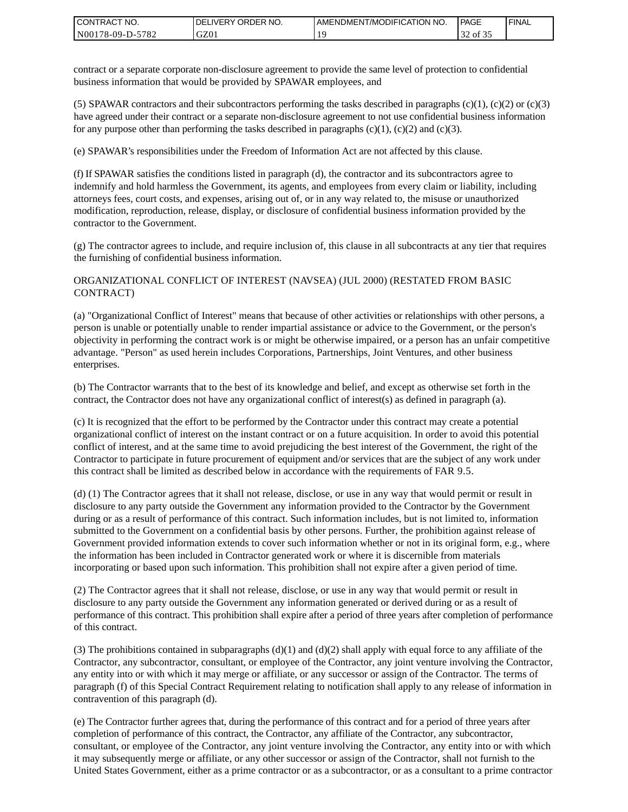| CONTRACT<br>`CT NO. | `NO.<br><b>DELIVERY ORDER</b> | AMENDMENT/MODIFICATION NO. | <b>PAGE</b> | ' FINAL |
|---------------------|-------------------------------|----------------------------|-------------|---------|
| N00178-09-D-5782    | GZ01                          |                            | 32 of 35    |         |

contract or a separate corporate non-disclosure agreement to provide the same level of protection to confidential business information that would be provided by SPAWAR employees, and

(5) SPAWAR contractors and their subcontractors performing the tasks described in paragraphs  $(c)(1)$ ,  $(c)(2)$  or  $(c)(3)$ have agreed under their contract or a separate non-disclosure agreement to not use confidential business information for any purpose other than performing the tasks described in paragraphs  $(c)(1)$ ,  $(c)(2)$  and  $(c)(3)$ .

(e) SPAWAR's responsibilities under the Freedom of Information Act are not affected by this clause.

(f) If SPAWAR satisfies the conditions listed in paragraph (d), the contractor and its subcontractors agree to indemnify and hold harmless the Government, its agents, and employees from every claim or liability, including attorneys fees, court costs, and expenses, arising out of, or in any way related to, the misuse or unauthorized modification, reproduction, release, display, or disclosure of confidential business information provided by the contractor to the Government.

(g) The contractor agrees to include, and require inclusion of, this clause in all subcontracts at any tier that requires the furnishing of confidential business information.

#### ORGANIZATIONAL CONFLICT OF INTEREST (NAVSEA) (JUL 2000) (RESTATED FROM BASIC CONTRACT)

(a) "Organizational Conflict of Interest" means that because of other activities or relationships with other persons, a person is unable or potentially unable to render impartial assistance or advice to the Government, or the person's objectivity in performing the contract work is or might be otherwise impaired, or a person has an unfair competitive advantage. "Person" as used herein includes Corporations, Partnerships, Joint Ventures, and other business enterprises.

(b) The Contractor warrants that to the best of its knowledge and belief, and except as otherwise set forth in the contract, the Contractor does not have any organizational conflict of interest(s) as defined in paragraph (a).

(c) It is recognized that the effort to be performed by the Contractor under this contract may create a potential organizational conflict of interest on the instant contract or on a future acquisition. In order to avoid this potential conflict of interest, and at the same time to avoid prejudicing the best interest of the Government, the right of the Contractor to participate in future procurement of equipment and/or services that are the subject of any work under this contract shall be limited as described below in accordance with the requirements of FAR 9.5.

(d) (1) The Contractor agrees that it shall not release, disclose, or use in any way that would permit or result in disclosure to any party outside the Government any information provided to the Contractor by the Government during or as a result of performance of this contract. Such information includes, but is not limited to, information submitted to the Government on a confidential basis by other persons. Further, the prohibition against release of Government provided information extends to cover such information whether or not in its original form, e.g., where the information has been included in Contractor generated work or where it is discernible from materials incorporating or based upon such information. This prohibition shall not expire after a given period of time.

(2) The Contractor agrees that it shall not release, disclose, or use in any way that would permit or result in disclosure to any party outside the Government any information generated or derived during or as a result of performance of this contract. This prohibition shall expire after a period of three years after completion of performance of this contract.

(3) The prohibitions contained in subparagraphs  $(d)(1)$  and  $(d)(2)$  shall apply with equal force to any affiliate of the Contractor, any subcontractor, consultant, or employee of the Contractor, any joint venture involving the Contractor, any entity into or with which it may merge or affiliate, or any successor or assign of the Contractor. The terms of paragraph (f) of this Special Contract Requirement relating to notification shall apply to any release of information in contravention of this paragraph (d).

(e) The Contractor further agrees that, during the performance of this contract and for a period of three years after completion of performance of this contract, the Contractor, any affiliate of the Contractor, any subcontractor, consultant, or employee of the Contractor, any joint venture involving the Contractor, any entity into or with which it may subsequently merge or affiliate, or any other successor or assign of the Contractor, shall not furnish to the United States Government, either as a prime contractor or as a subcontractor, or as a consultant to a prime contractor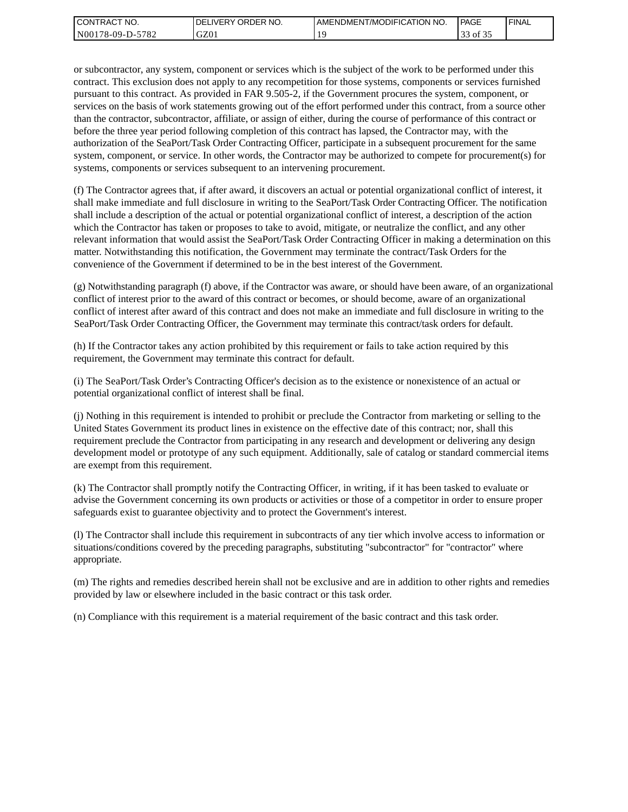| I CONTRACT NO.   | <b>IDELIVERY ORDER NO.</b> | AMENDMENT/MODIFICATION NO. | PAGE         | 'FINAL |
|------------------|----------------------------|----------------------------|--------------|--------|
| N00178-09-D-5782 | GZ01                       |                            | $\sim$<br>of |        |

or subcontractor, any system, component or services which is the subject of the work to be performed under this contract. This exclusion does not apply to any recompetition for those systems, components or services furnished pursuant to this contract. As provided in FAR 9.505-2, if the Government procures the system, component, or services on the basis of work statements growing out of the effort performed under this contract, from a source other than the contractor, subcontractor, affiliate, or assign of either, during the course of performance of this contract or before the three year period following completion of this contract has lapsed, the Contractor may, with the authorization of the SeaPort/Task Order Contracting Officer, participate in a subsequent procurement for the same system, component, or service. In other words, the Contractor may be authorized to compete for procurement(s) for systems, components or services subsequent to an intervening procurement.

(f) The Contractor agrees that, if after award, it discovers an actual or potential organizational conflict of interest, it shall make immediate and full disclosure in writing to the SeaPort/Task Order Contracting Officer. The notification shall include a description of the actual or potential organizational conflict of interest, a description of the action which the Contractor has taken or proposes to take to avoid, mitigate, or neutralize the conflict, and any other relevant information that would assist the SeaPort/Task Order Contracting Officer in making a determination on this matter. Notwithstanding this notification, the Government may terminate the contract/Task Orders for the convenience of the Government if determined to be in the best interest of the Government.

(g) Notwithstanding paragraph (f) above, if the Contractor was aware, or should have been aware, of an organizational conflict of interest prior to the award of this contract or becomes, or should become, aware of an organizational conflict of interest after award of this contract and does not make an immediate and full disclosure in writing to the SeaPort/Task Order Contracting Officer, the Government may terminate this contract/task orders for default.

(h) If the Contractor takes any action prohibited by this requirement or fails to take action required by this requirement, the Government may terminate this contract for default.

(i) The SeaPort/Task Order's Contracting Officer's decision as to the existence or nonexistence of an actual or potential organizational conflict of interest shall be final.

(j) Nothing in this requirement is intended to prohibit or preclude the Contractor from marketing or selling to the United States Government its product lines in existence on the effective date of this contract; nor, shall this requirement preclude the Contractor from participating in any research and development or delivering any design development model or prototype of any such equipment. Additionally, sale of catalog or standard commercial items are exempt from this requirement.

(k) The Contractor shall promptly notify the Contracting Officer, in writing, if it has been tasked to evaluate or advise the Government concerning its own products or activities or those of a competitor in order to ensure proper safeguards exist to guarantee objectivity and to protect the Government's interest.

(l) The Contractor shall include this requirement in subcontracts of any tier which involve access to information or situations/conditions covered by the preceding paragraphs, substituting "subcontractor" for "contractor" where appropriate.

(m) The rights and remedies described herein shall not be exclusive and are in addition to other rights and remedies provided by law or elsewhere included in the basic contract or this task order.

(n) Compliance with this requirement is a material requirement of the basic contract and this task order.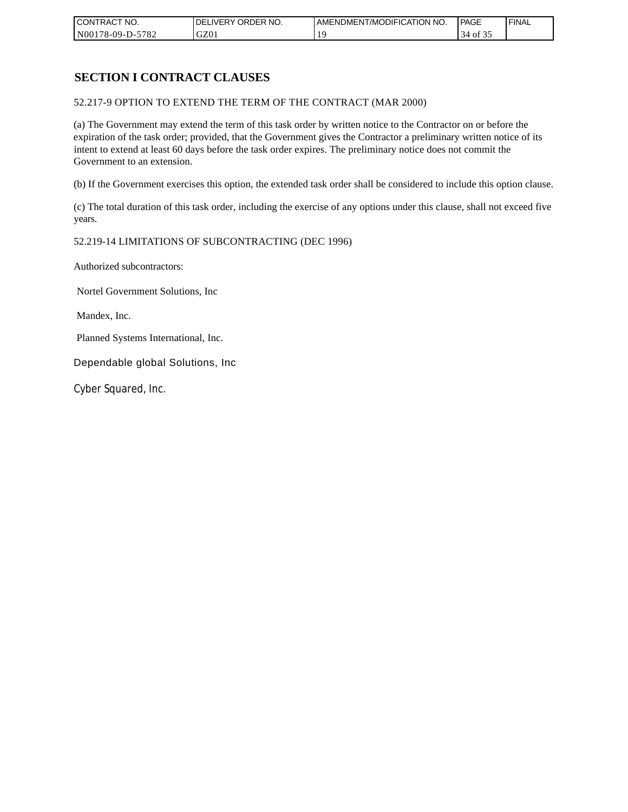| CONTRACT NO.     | `NO.<br><b>DELIVERY ORDER</b> | AMENDMENT/MODIFICATION<br>' NO. | PAGE  | 'FINAL |
|------------------|-------------------------------|---------------------------------|-------|--------|
| N00178-09-D-5782 | GZ01                          |                                 | of 35 |        |

# **SECTION I CONTRACT CLAUSES**

52.217-9 OPTION TO EXTEND THE TERM OF THE CONTRACT (MAR 2000)

(a) The Government may extend the term of this task order by written notice to the Contractor on or before the expiration of the task order; provided, that the Government gives the Contractor a preliminary written notice of its intent to extend at least 60 days before the task order expires. The preliminary notice does not commit the Government to an extension.

(b) If the Government exercises this option, the extended task order shall be considered to include this option clause.

(c) The total duration of this task order, including the exercise of any options under this clause, shall not exceed five years.

#### 52.219-14 LIMITATIONS OF SUBCONTRACTING (DEC 1996)

Authorized subcontractors:

Nortel Government Solutions, Inc

Mandex, Inc.

Planned Systems International, Inc.

Dependable global Solutions, Inc

Cyber Squared, Inc.